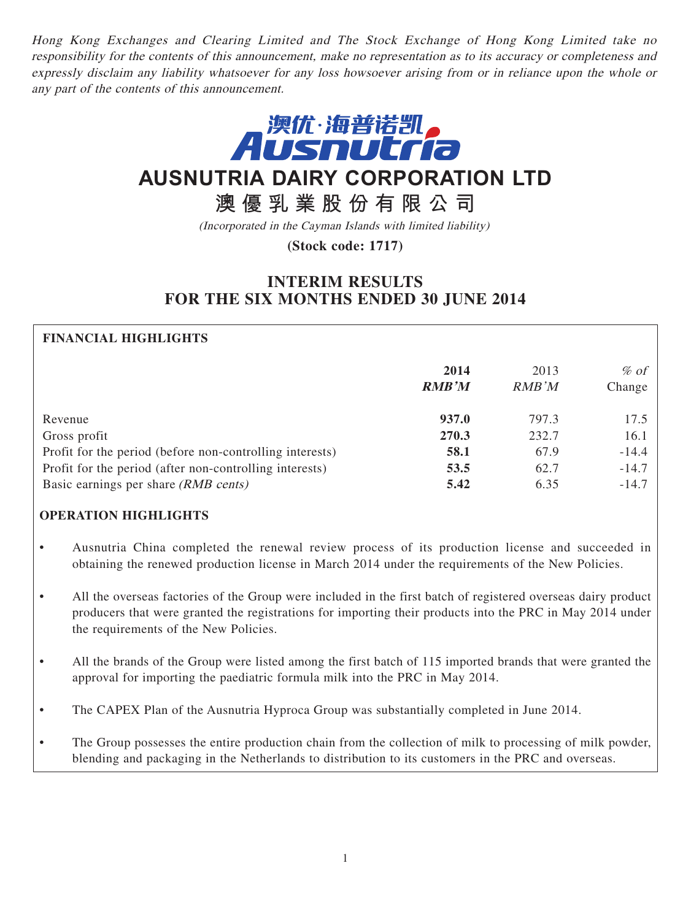Hong Kong Exchanges and Clearing Limited and The Stock Exchange of Hong Kong Limited take no responsibility for the contents of this announcement, make no representation as to its accuracy or completeness and expressly disclaim any liability whatsoever for any loss howsoever arising from or in reliance upon the whole or any part of the contents of this announcement.



# **AUSNUTRIA DAIRY CORPORATION LTD**

# **澳優乳業股份有限公司**

(Incorporated in the Cayman Islands with limited liability)

**(Stock code: 1717)**

# **INTERIM RESULTS FOR THE SIX MONTHS ENDED 30 JUNE 2014**

# **FINANCIAL HIGHLIGHTS**

|                                                          | 2014<br><b>RMB'M</b> | 2013<br><b>RMB</b> 'M | $\%$ of<br>Change |
|----------------------------------------------------------|----------------------|-----------------------|-------------------|
| Revenue                                                  | 937.0                | 797.3                 | 17.5              |
| Gross profit                                             | 270.3                | 232.7                 | 16.1              |
| Profit for the period (before non-controlling interests) | 58.1                 | 67.9                  | $-14.4$           |
| Profit for the period (after non-controlling interests)  | 53.5                 | 62.7                  | $-14.7$           |
| Basic earnings per share (RMB cents)                     | 5.42                 | 6.35                  | $-14.7$           |

# **OPERATION HIGHLIGHTS**

- Ausnutria China completed the renewal review process of its production license and succeeded in obtaining the renewed production license in March 2014 under the requirements of the New Policies.
- All the overseas factories of the Group were included in the first batch of registered overseas dairy product producers that were granted the registrations for importing their products into the PRC in May 2014 under the requirements of the New Policies.
- All the brands of the Group were listed among the first batch of 115 imported brands that were granted the approval for importing the paediatric formula milk into the PRC in May 2014.
- The CAPEX Plan of the Ausnutria Hyproca Group was substantially completed in June 2014.
- The Group possesses the entire production chain from the collection of milk to processing of milk powder, blending and packaging in the Netherlands to distribution to its customers in the PRC and overseas.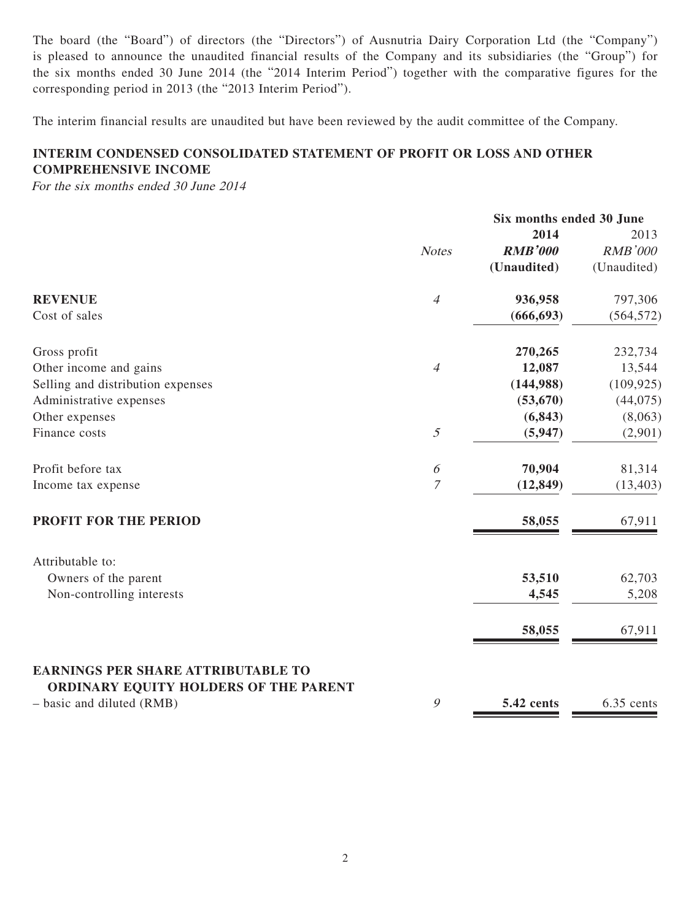The board (the "Board") of directors (the "Directors") of Ausnutria Dairy Corporation Ltd (the "Company") is pleased to announce the unaudited financial results of the Company and its subsidiaries (the "Group") for the six months ended 30 June 2014 (the "2014 Interim Period") together with the comparative figures for the corresponding period in 2013 (the "2013 Interim Period").

The interim financial results are unaudited but have been reviewed by the audit committee of the Company.

# **INTERIM CONDENSED CONSOLIDATED STATEMENT OF PROFIT OR LOSS AND OTHER COMPREHENSIVE INCOME**

For the six months ended 30 June 2014

|                                                                                    |                       | Six months ended 30 June |                |
|------------------------------------------------------------------------------------|-----------------------|--------------------------|----------------|
|                                                                                    |                       | 2014                     | 2013           |
|                                                                                    | <b>Notes</b>          | <b>RMB'000</b>           | <b>RMB'000</b> |
|                                                                                    |                       | (Unaudited)              | (Unaudited)    |
| <b>REVENUE</b>                                                                     | $\overline{4}$        | 936,958                  | 797,306        |
| Cost of sales                                                                      |                       | (666, 693)               | (564, 572)     |
| Gross profit                                                                       |                       | 270,265                  | 232,734        |
| Other income and gains                                                             | $\overline{4}$        | 12,087                   | 13,544         |
| Selling and distribution expenses                                                  |                       | (144,988)                | (109, 925)     |
| Administrative expenses                                                            |                       | (53, 670)                | (44, 075)      |
| Other expenses                                                                     |                       | (6, 843)                 | (8,063)        |
| Finance costs                                                                      | $\mathfrak{I}$        | (5, 947)                 | (2,901)        |
| Profit before tax                                                                  | $\boldsymbol{\delta}$ | 70,904                   | 81,314         |
| Income tax expense                                                                 | $\boldsymbol{7}$      | (12, 849)                | (13, 403)      |
| PROFIT FOR THE PERIOD                                                              |                       | 58,055                   | 67,911         |
| Attributable to:                                                                   |                       |                          |                |
| Owners of the parent                                                               |                       | 53,510                   | 62,703         |
| Non-controlling interests                                                          |                       | 4,545                    | 5,208          |
|                                                                                    |                       | 58,055                   | 67,911         |
| <b>EARNINGS PER SHARE ATTRIBUTABLE TO</b><br>ORDINARY EQUITY HOLDERS OF THE PARENT |                       |                          |                |
| - basic and diluted (RMB)                                                          | $\mathcal{G}$         | 5.42 cents               | 6.35 cents     |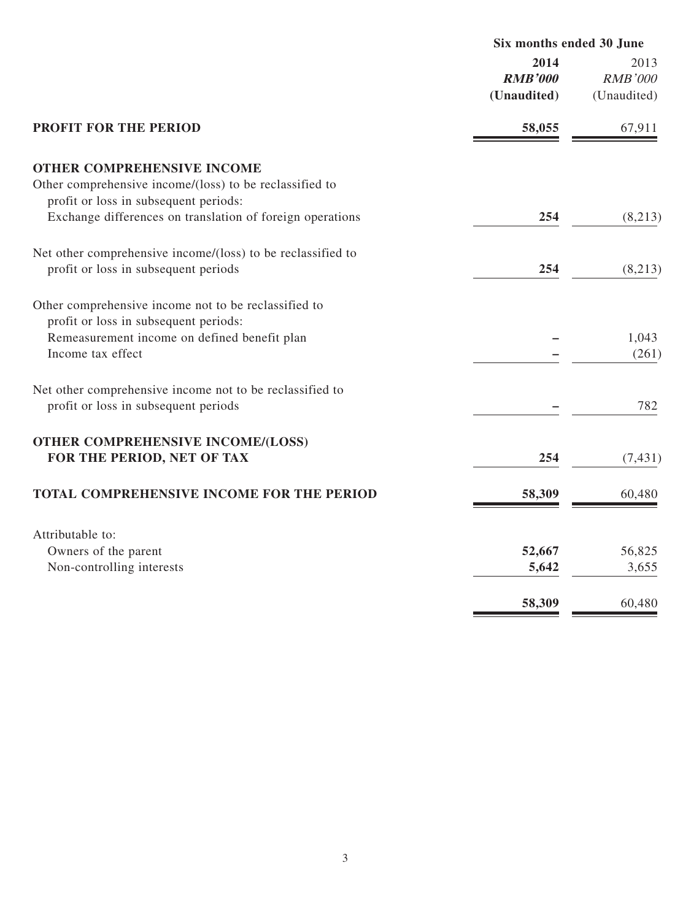| Six months ended 30 June              |                                       |
|---------------------------------------|---------------------------------------|
| 2014<br><b>RMB'000</b><br>(Unaudited) | 2013<br><b>RMB'000</b><br>(Unaudited) |
| 58,055                                | 67,911                                |
|                                       |                                       |
|                                       |                                       |
|                                       |                                       |
|                                       | (8,213)                               |
|                                       |                                       |
| 254                                   | (8,213)                               |
|                                       |                                       |
|                                       |                                       |
|                                       | 1,043                                 |
|                                       | (261)                                 |
|                                       |                                       |
|                                       | 782                                   |
|                                       |                                       |
| 254                                   | (7, 431)                              |
|                                       | 60,480                                |
|                                       |                                       |
|                                       |                                       |
| 52,667                                | 56,825                                |
| 5,642                                 | 3,655                                 |
| 58,309                                | 60,480                                |
|                                       | 254<br>58,309                         |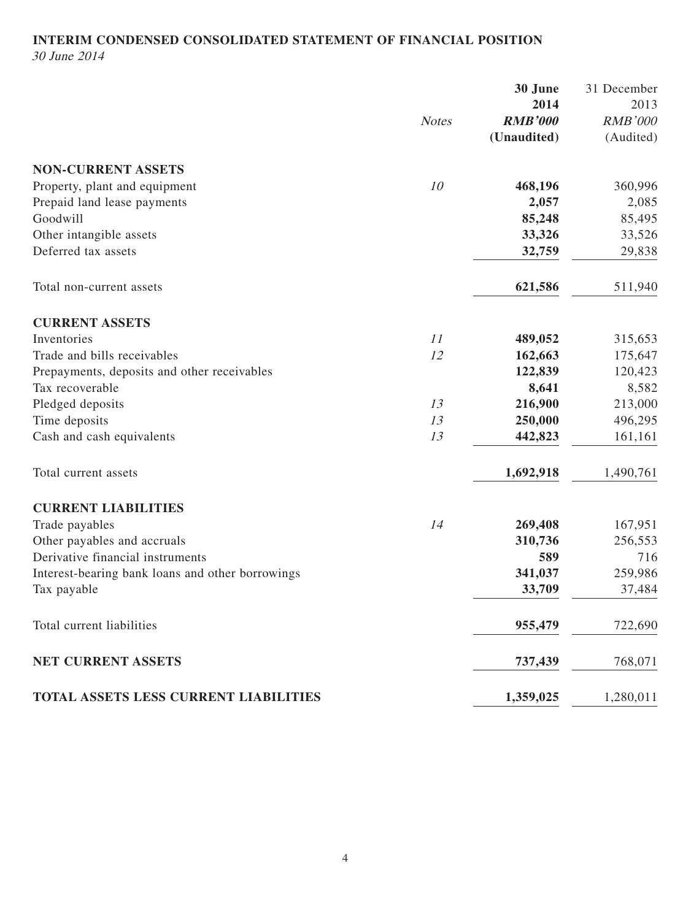# **INTERIM CONDENSED CONSOLIDATED STATEMENT OF FINANCIAL POSITION** 30 June 2014

|                                                  |              | 30 June<br>2014 | 31 December<br>2013 |
|--------------------------------------------------|--------------|-----------------|---------------------|
|                                                  | <b>Notes</b> | <b>RMB'000</b>  | <b>RMB'000</b>      |
|                                                  |              | (Unaudited)     | (Audited)           |
| <b>NON-CURRENT ASSETS</b>                        |              |                 |                     |
| Property, plant and equipment                    | 10           | 468,196         | 360,996             |
| Prepaid land lease payments                      |              | 2,057           | 2,085               |
| Goodwill                                         |              | 85,248          | 85,495              |
| Other intangible assets                          |              | 33,326          | 33,526              |
| Deferred tax assets                              |              | 32,759          | 29,838              |
| Total non-current assets                         |              | 621,586         | 511,940             |
| <b>CURRENT ASSETS</b>                            |              |                 |                     |
| Inventories                                      | 11           | 489,052         | 315,653             |
| Trade and bills receivables                      | 12           | 162,663         | 175,647             |
| Prepayments, deposits and other receivables      |              | 122,839         | 120,423             |
| Tax recoverable                                  |              | 8,641           | 8,582               |
| Pledged deposits                                 | 13           | 216,900         | 213,000             |
| Time deposits                                    | 13           | 250,000         | 496,295             |
| Cash and cash equivalents                        | 13           | 442,823         | 161,161             |
| Total current assets                             |              | 1,692,918       | 1,490,761           |
| <b>CURRENT LIABILITIES</b>                       |              |                 |                     |
| Trade payables                                   | 14           | 269,408         | 167,951             |
| Other payables and accruals                      |              | 310,736         | 256,553             |
| Derivative financial instruments                 |              | 589             | 716                 |
| Interest-bearing bank loans and other borrowings |              | 341,037         | 259,986             |
| Tax payable                                      |              | 33,709          | 37,484              |
| Total current liabilities                        |              | 955,479         | 722,690             |
| NET CURRENT ASSETS                               |              | 737,439         | 768,071             |
| TOTAL ASSETS LESS CURRENT LIABILITIES            |              | 1,359,025       | 1,280,011           |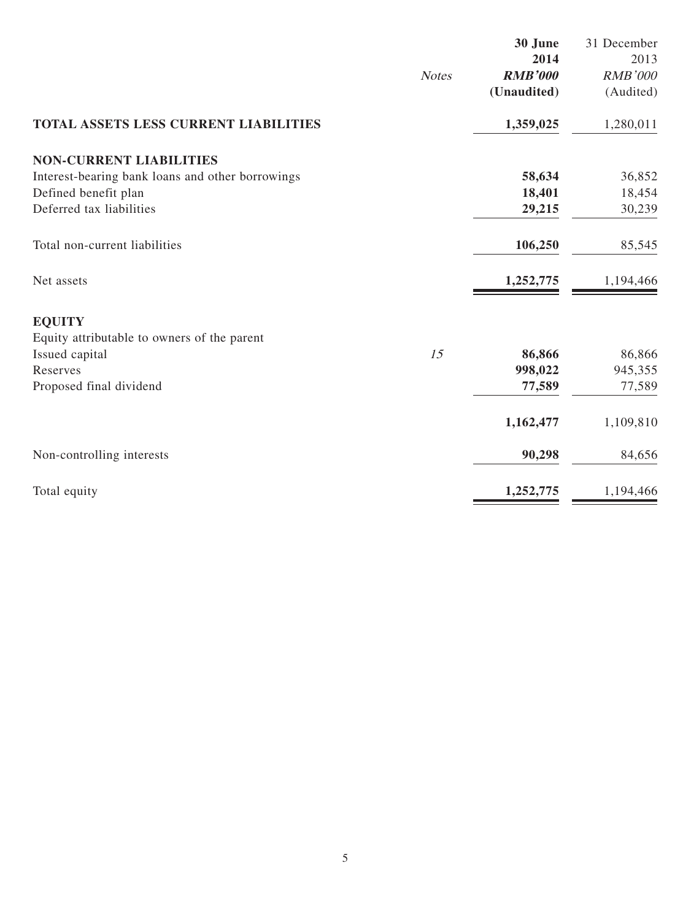|                                                  |              | 30 June        | 31 December    |
|--------------------------------------------------|--------------|----------------|----------------|
|                                                  |              | 2014           | 2013           |
|                                                  | <b>Notes</b> | <b>RMB'000</b> | <b>RMB'000</b> |
|                                                  |              | (Unaudited)    | (Audited)      |
| <b>TOTAL ASSETS LESS CURRENT LIABILITIES</b>     |              | 1,359,025      | 1,280,011      |
| <b>NON-CURRENT LIABILITIES</b>                   |              |                |                |
| Interest-bearing bank loans and other borrowings |              | 58,634         | 36,852         |
| Defined benefit plan                             |              | 18,401         | 18,454         |
| Deferred tax liabilities                         |              | 29,215         | 30,239         |
| Total non-current liabilities                    |              | 106,250        | 85,545         |
| Net assets                                       |              | 1,252,775      | 1,194,466      |
| <b>EQUITY</b>                                    |              |                |                |
| Equity attributable to owners of the parent      |              |                |                |
| Issued capital                                   | 15           | 86,866         | 86,866         |
| Reserves                                         |              | 998,022        | 945,355        |
| Proposed final dividend                          |              | 77,589         | 77,589         |
|                                                  |              | 1,162,477      | 1,109,810      |
| Non-controlling interests                        |              | 90,298         | 84,656         |
| Total equity                                     |              | 1,252,775      | 1,194,466      |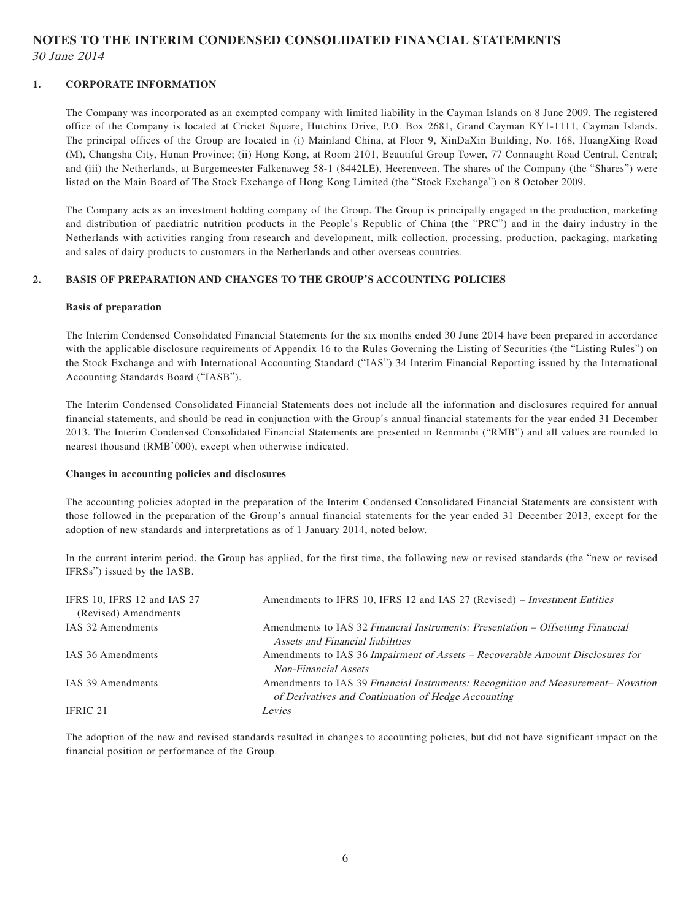## **NOTES TO THE INTERIM CONDENSED CONSOLIDATED FINANCIAL STATEMENTS** 30 June 2014

#### **1. CORPORATE INFORMATION**

The Company was incorporated as an exempted company with limited liability in the Cayman Islands on 8 June 2009. The registered office of the Company is located at Cricket Square, Hutchins Drive, P.O. Box 2681, Grand Cayman KY1-1111, Cayman Islands. The principal offices of the Group are located in (i) Mainland China, at Floor 9, XinDaXin Building, No. 168, HuangXing Road (M), Changsha City, Hunan Province; (ii) Hong Kong, at Room 2101, Beautiful Group Tower, 77 Connaught Road Central, Central; and (iii) the Netherlands, at Burgemeester Falkenaweg 58-1 (8442LE), Heerenveen. The shares of the Company (the "Shares") were listed on the Main Board of The Stock Exchange of Hong Kong Limited (the "Stock Exchange") on 8 October 2009.

The Company acts as an investment holding company of the Group. The Group is principally engaged in the production, marketing and distribution of paediatric nutrition products in the People's Republic of China (the "PRC") and in the dairy industry in the Netherlands with activities ranging from research and development, milk collection, processing, production, packaging, marketing and sales of dairy products to customers in the Netherlands and other overseas countries.

#### **2. BASIS OF PREPARATION AND CHANGES TO THE GROUP'S ACCOUNTING POLICIES**

#### **Basis of preparation**

The Interim Condensed Consolidated Financial Statements for the six months ended 30 June 2014 have been prepared in accordance with the applicable disclosure requirements of Appendix 16 to the Rules Governing the Listing of Securities (the "Listing Rules") on the Stock Exchange and with International Accounting Standard ("IAS") 34 Interim Financial Reporting issued by the International Accounting Standards Board ("IASB").

The Interim Condensed Consolidated Financial Statements does not include all the information and disclosures required for annual financial statements, and should be read in conjunction with the Group's annual financial statements for the year ended 31 December 2013. The Interim Condensed Consolidated Financial Statements are presented in Renminbi ("RMB") and all values are rounded to nearest thousand (RMB'000), except when otherwise indicated.

#### **Changes in accounting policies and disclosures**

The accounting policies adopted in the preparation of the Interim Condensed Consolidated Financial Statements are consistent with those followed in the preparation of the Group's annual financial statements for the year ended 31 December 2013, except for the adoption of new standards and interpretations as of 1 January 2014, noted below.

In the current interim period, the Group has applied, for the first time, the following new or revised standards (the "new or revised IFRSs") issued by the IASB.

| IFRS 10, IFRS 12 and IAS 27<br>(Revised) Amendments | Amendments to IFRS 10, IFRS 12 and IAS 27 (Revised) – <i>Investment Entities</i>                                                        |
|-----------------------------------------------------|-----------------------------------------------------------------------------------------------------------------------------------------|
| IAS 32 Amendments                                   | Amendments to IAS 32 Financial Instruments: Presentation – Offsetting Financial<br>Assets and Financial liabilities                     |
| IAS 36 Amendments                                   | Amendments to IAS 36 Impairment of Assets – Recoverable Amount Disclosures for<br><b>Non-Financial Assets</b>                           |
| IAS 39 Amendments                                   | Amendments to IAS 39 Financial Instruments: Recognition and Measurement-Novation<br>of Derivatives and Continuation of Hedge Accounting |
| IFRIC 21                                            | Levies                                                                                                                                  |

The adoption of the new and revised standards resulted in changes to accounting policies, but did not have significant impact on the financial position or performance of the Group.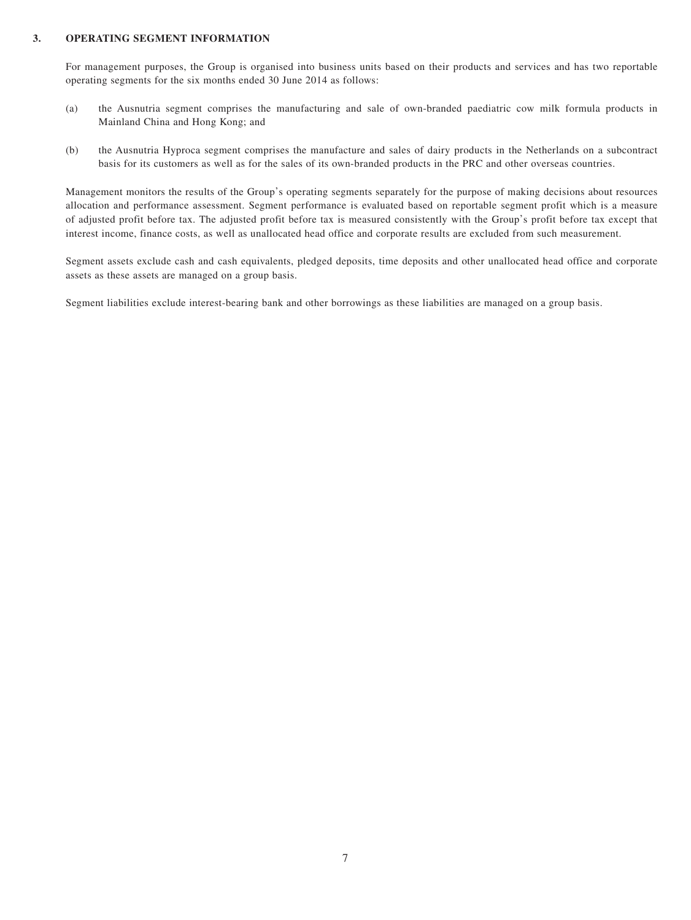#### **3. OPERATING SEGMENT INFORMATION**

For management purposes, the Group is organised into business units based on their products and services and has two reportable operating segments for the six months ended 30 June 2014 as follows:

- (a) the Ausnutria segment comprises the manufacturing and sale of own-branded paediatric cow milk formula products in Mainland China and Hong Kong; and
- (b) the Ausnutria Hyproca segment comprises the manufacture and sales of dairy products in the Netherlands on a subcontract basis for its customers as well as for the sales of its own-branded products in the PRC and other overseas countries.

Management monitors the results of the Group's operating segments separately for the purpose of making decisions about resources allocation and performance assessment. Segment performance is evaluated based on reportable segment profit which is a measure of adjusted profit before tax. The adjusted profit before tax is measured consistently with the Group's profit before tax except that interest income, finance costs, as well as unallocated head office and corporate results are excluded from such measurement.

Segment assets exclude cash and cash equivalents, pledged deposits, time deposits and other unallocated head office and corporate assets as these assets are managed on a group basis.

Segment liabilities exclude interest-bearing bank and other borrowings as these liabilities are managed on a group basis.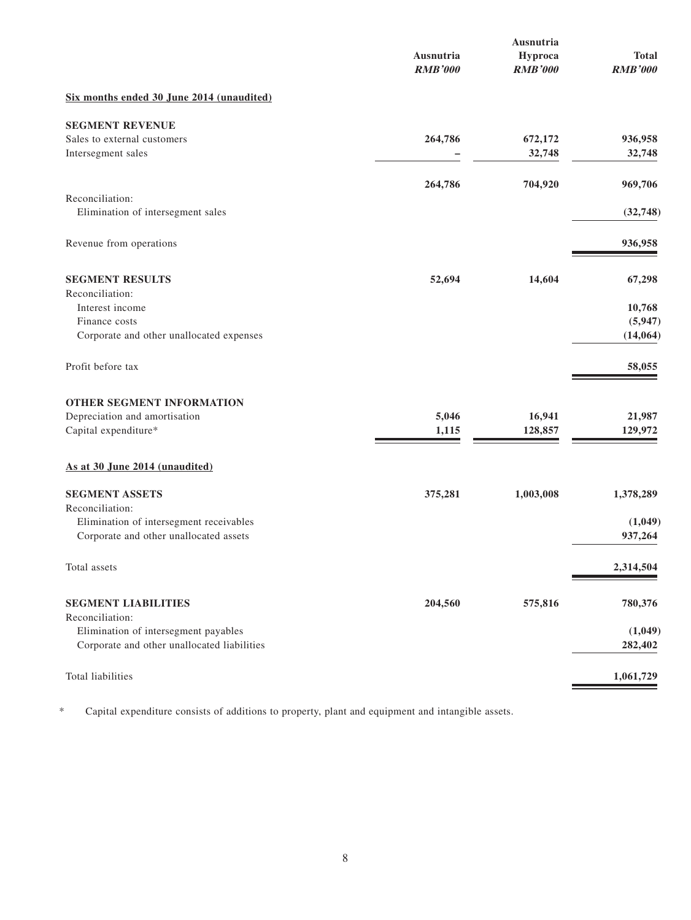|                                                                                     | Ausnutria<br><b>RMB'000</b> | Ausnutria<br>Hyproca<br><b>RMB'000</b> | <b>Total</b><br><b>RMB'000</b> |
|-------------------------------------------------------------------------------------|-----------------------------|----------------------------------------|--------------------------------|
| Six months ended 30 June 2014 (unaudited)                                           |                             |                                        |                                |
| <b>SEGMENT REVENUE</b>                                                              |                             |                                        |                                |
| Sales to external customers                                                         | 264,786                     | 672,172                                | 936,958                        |
| Intersegment sales                                                                  |                             | 32,748                                 | 32,748                         |
|                                                                                     | 264,786                     | 704,920                                | 969,706                        |
| Reconciliation:                                                                     |                             |                                        |                                |
| Elimination of intersegment sales                                                   |                             |                                        | (32, 748)                      |
| Revenue from operations                                                             |                             |                                        | 936,958                        |
| <b>SEGMENT RESULTS</b>                                                              | 52,694                      | 14,604                                 | 67,298                         |
| Reconciliation:                                                                     |                             |                                        |                                |
| Interest income<br>Finance costs                                                    |                             |                                        | 10,768<br>(5,947)              |
| Corporate and other unallocated expenses                                            |                             |                                        | (14, 064)                      |
|                                                                                     |                             |                                        |                                |
| Profit before tax                                                                   |                             |                                        | 58,055                         |
| OTHER SEGMENT INFORMATION                                                           |                             |                                        |                                |
| Depreciation and amortisation                                                       | 5,046                       | 16,941                                 | 21,987                         |
| Capital expenditure*                                                                | 1,115                       | 128,857                                | 129,972                        |
| As at 30 June 2014 (unaudited)                                                      |                             |                                        |                                |
| <b>SEGMENT ASSETS</b>                                                               | 375,281                     | 1,003,008                              | 1,378,289                      |
| Reconciliation:                                                                     |                             |                                        |                                |
| Elimination of intersegment receivables<br>Corporate and other unallocated assets   |                             |                                        | (1,049)<br>937,264             |
|                                                                                     |                             |                                        |                                |
| Total assets                                                                        |                             |                                        | 2,314,504                      |
| <b>SEGMENT LIABILITIES</b>                                                          | 204,560                     | 575,816                                | 780,376                        |
| Reconciliation:                                                                     |                             |                                        |                                |
| Elimination of intersegment payables<br>Corporate and other unallocated liabilities |                             |                                        | (1,049)<br>282,402             |
|                                                                                     |                             |                                        |                                |
| Total liabilities                                                                   |                             |                                        | 1,061,729                      |

\* Capital expenditure consists of additions to property, plant and equipment and intangible assets.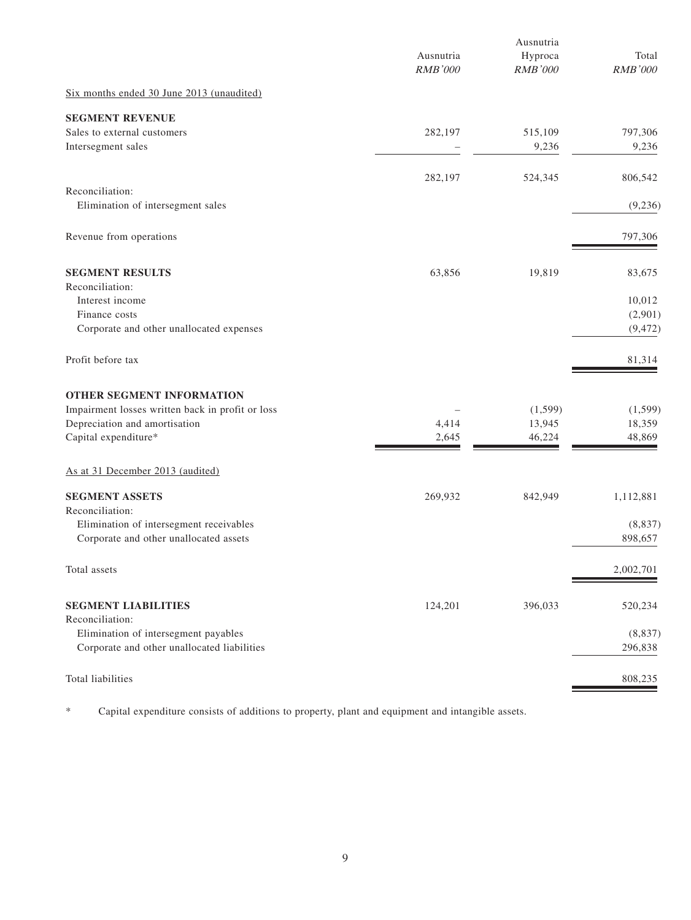|                                                      | Ausnutria<br><b>RMB'000</b> | Ausnutria<br>Hyproca<br>RMB'000 | Total<br><b>RMB'000</b> |
|------------------------------------------------------|-----------------------------|---------------------------------|-------------------------|
| Six months ended 30 June 2013 (unaudited)            |                             |                                 |                         |
| <b>SEGMENT REVENUE</b>                               |                             |                                 |                         |
| Sales to external customers<br>Intersegment sales    | 282,197                     | 515,109<br>9,236                | 797,306<br>9,236        |
|                                                      | 282,197                     | 524,345                         | 806,542                 |
| Reconciliation:<br>Elimination of intersegment sales |                             |                                 | (9,236)                 |
| Revenue from operations                              |                             |                                 | 797,306                 |
| <b>SEGMENT RESULTS</b><br>Reconciliation:            | 63,856                      | 19,819                          | 83,675                  |
| Interest income                                      |                             |                                 | 10,012                  |
| Finance costs                                        |                             |                                 | (2,901)                 |
| Corporate and other unallocated expenses             |                             |                                 | (9, 472)                |
| Profit before tax                                    |                             |                                 | 81,314                  |
| OTHER SEGMENT INFORMATION                            |                             |                                 |                         |
| Impairment losses written back in profit or loss     |                             | (1,599)                         | (1, 599)                |
| Depreciation and amortisation                        | 4,414                       | 13,945                          | 18,359                  |
| Capital expenditure*                                 | 2,645                       | 46,224                          | 48,869                  |
| As at 31 December 2013 (audited)                     |                             |                                 |                         |
| <b>SEGMENT ASSETS</b><br>Reconciliation:             | 269,932                     | 842,949                         | 1,112,881               |
| Elimination of intersegment receivables              |                             |                                 | (8, 837)                |
| Corporate and other unallocated assets               |                             |                                 | 898,657                 |
| Total assets                                         |                             |                                 | 2,002,701               |
| <b>SEGMENT LIABILITIES</b><br>Reconciliation:        | 124,201                     | 396,033                         | 520,234                 |
| Elimination of intersegment payables                 |                             |                                 | (8, 837)                |
| Corporate and other unallocated liabilities          |                             |                                 | 296,838                 |
| Total liabilities                                    |                             |                                 | 808,235                 |

\* Capital expenditure consists of additions to property, plant and equipment and intangible assets.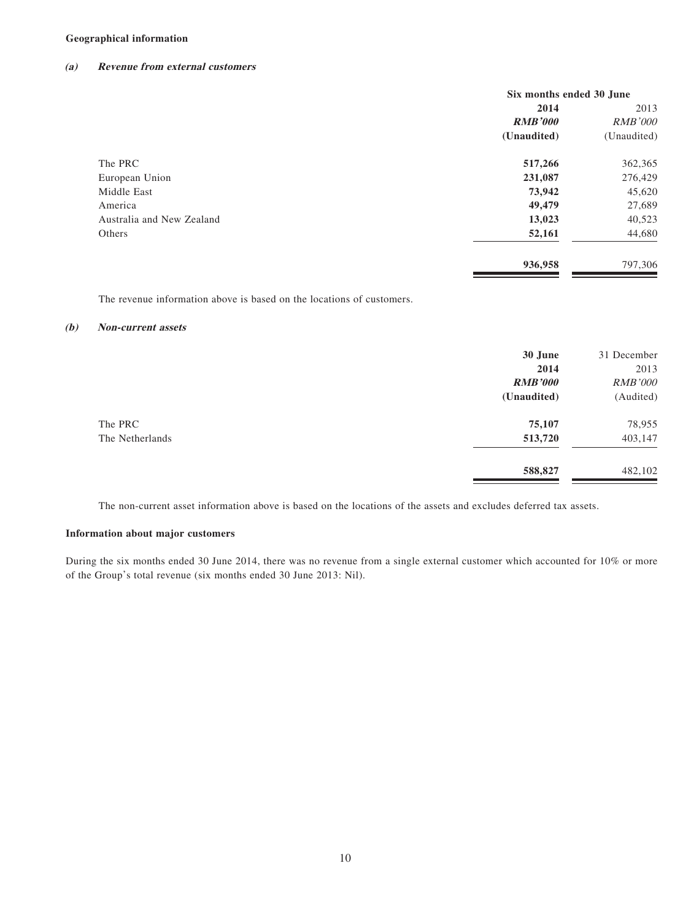#### **Geographical information**

#### **(a) Revenue from external customers**

|                           | Six months ended 30 June |                |
|---------------------------|--------------------------|----------------|
|                           | 2014                     | 2013           |
|                           | <b>RMB'000</b>           | <b>RMB'000</b> |
|                           | (Unaudited)              | (Unaudited)    |
| The PRC                   | 517,266                  | 362,365        |
| European Union            | 231,087                  | 276,429        |
| Middle East               | 73,942                   | 45,620         |
| America                   | 49,479                   | 27,689         |
| Australia and New Zealand | 13,023                   | 40,523         |
| Others                    | 52,161                   | 44,680         |
|                           | 936,958                  | 797,306        |

The revenue information above is based on the locations of customers.

#### **(b) Non-current assets**

|                 | 30 June        | 31 December    |
|-----------------|----------------|----------------|
|                 | 2014           | 2013           |
|                 | <b>RMB'000</b> | <b>RMB'000</b> |
|                 | (Unaudited)    | (Audited)      |
| The PRC         | 75,107         | 78,955         |
| The Netherlands | 513,720        | 403,147        |
|                 | 588,827        | 482,102        |

The non-current asset information above is based on the locations of the assets and excludes deferred tax assets.

#### **Information about major customers**

During the six months ended 30 June 2014, there was no revenue from a single external customer which accounted for 10% or more of the Group's total revenue (six months ended 30 June 2013: Nil).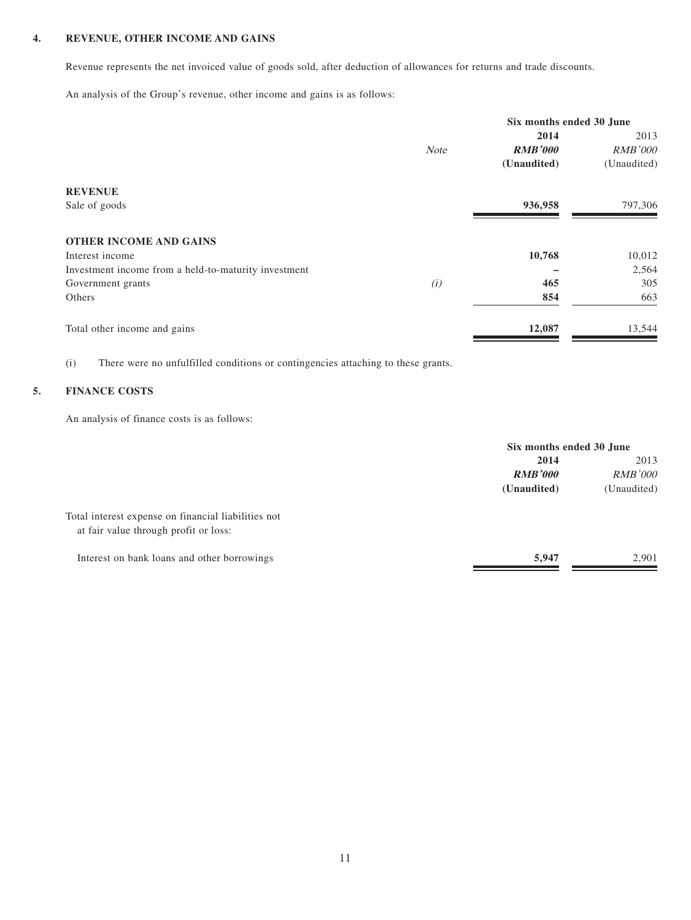#### **4. REVENUE, OTHER INCOME AND GAINS**

Revenue represents the net invoiced value of goods sold, after deduction of allowances for returns and trade discounts.

An analysis of the Group's revenue, other income and gains is as follows:

|                                                      |             | Six months ended 30 June |                |
|------------------------------------------------------|-------------|--------------------------|----------------|
|                                                      |             | 2014                     | 2013           |
|                                                      | <b>Note</b> | <b>RMB'000</b>           | <b>RMB'000</b> |
|                                                      |             | (Unaudited)              | (Unaudited)    |
| <b>REVENUE</b>                                       |             |                          |                |
| Sale of goods                                        |             | 936,958                  | 797,306        |
| <b>OTHER INCOME AND GAINS</b>                        |             |                          |                |
| Interest income                                      |             | 10,768                   | 10,012         |
| Investment income from a held-to-maturity investment |             |                          | 2,564          |
| Government grants                                    | (i)         | 465                      | 305            |
| Others                                               |             | 854                      | 663            |
| Total other income and gains                         |             | 12,087                   | 13,544         |

(i) There were no unfulfilled conditions or contingencies attaching to these grants.

#### **5. FINANCE COSTS**

An analysis of finance costs is as follows:

|                                                                                              | Six months ended 30 June |                |
|----------------------------------------------------------------------------------------------|--------------------------|----------------|
|                                                                                              | 2014                     |                |
|                                                                                              | <b>RMB'000</b>           | <i>RMB'000</i> |
|                                                                                              | (Unaudited)              | (Unaudited)    |
| Total interest expense on financial liabilities not<br>at fair value through profit or loss: |                          |                |
| Interest on bank loans and other borrowings                                                  | 5,947                    | 2.901          |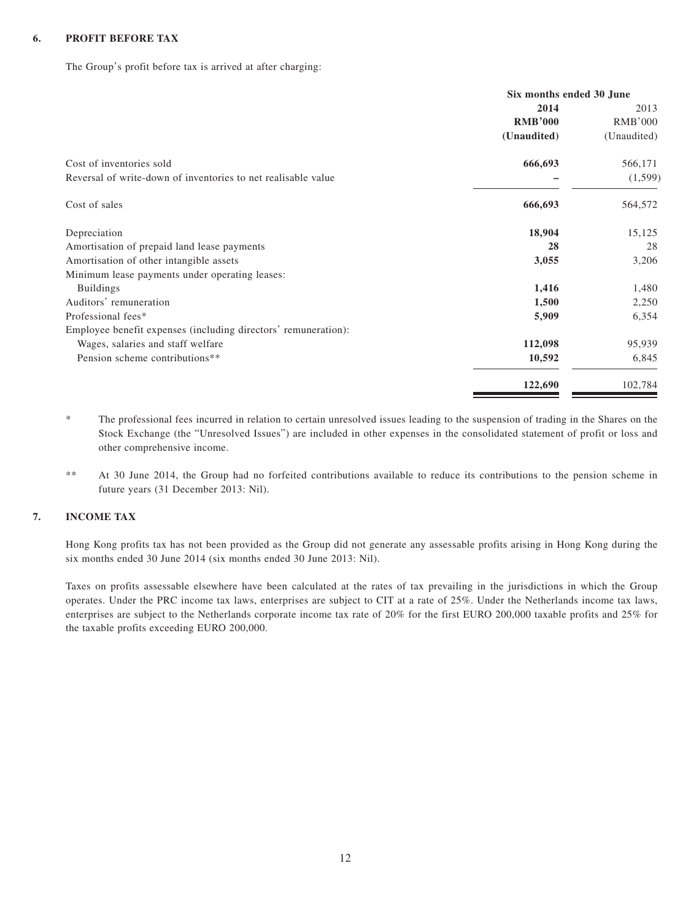#### **6. PROFIT BEFORE TAX**

The Group's profit before tax is arrived at after charging:

|                                                                | Six months ended 30 June |                |
|----------------------------------------------------------------|--------------------------|----------------|
|                                                                | 2014                     | 2013           |
|                                                                | <b>RMB'000</b>           | <b>RMB'000</b> |
|                                                                | (Unaudited)              | (Unaudited)    |
| Cost of inventories sold                                       | 666,693                  | 566,171        |
| Reversal of write-down of inventories to net realisable value  |                          | (1, 599)       |
| Cost of sales                                                  | 666,693                  | 564,572        |
| Depreciation                                                   | 18,904                   | 15,125         |
| Amortisation of prepaid land lease payments                    | 28                       | 28             |
| Amortisation of other intangible assets                        | 3,055                    | 3,206          |
| Minimum lease payments under operating leases:                 |                          |                |
| <b>Buildings</b>                                               | 1,416                    | 1,480          |
| Auditors' remuneration                                         | 1,500                    | 2,250          |
| Professional fees*                                             | 5,909                    | 6,354          |
| Employee benefit expenses (including directors' remuneration): |                          |                |
| Wages, salaries and staff welfare                              | 112,098                  | 95,939         |
| Pension scheme contributions**                                 | 10,592                   | 6,845          |
|                                                                | 122,690                  | 102,784        |

\* The professional fees incurred in relation to certain unresolved issues leading to the suspension of trading in the Shares on the Stock Exchange (the "Unresolved Issues") are included in other expenses in the consolidated statement of profit or loss and other comprehensive income.

\*\* At 30 June 2014, the Group had no forfeited contributions available to reduce its contributions to the pension scheme in future years (31 December 2013: Nil).

#### **7. INCOME TAX**

Hong Kong profits tax has not been provided as the Group did not generate any assessable profits arising in Hong Kong during the six months ended 30 June 2014 (six months ended 30 June 2013: Nil).

Taxes on profits assessable elsewhere have been calculated at the rates of tax prevailing in the jurisdictions in which the Group operates. Under the PRC income tax laws, enterprises are subject to CIT at a rate of 25%. Under the Netherlands income tax laws, enterprises are subject to the Netherlands corporate income tax rate of 20% for the first EURO 200,000 taxable profits and 25% for the taxable profits exceeding EURO 200,000.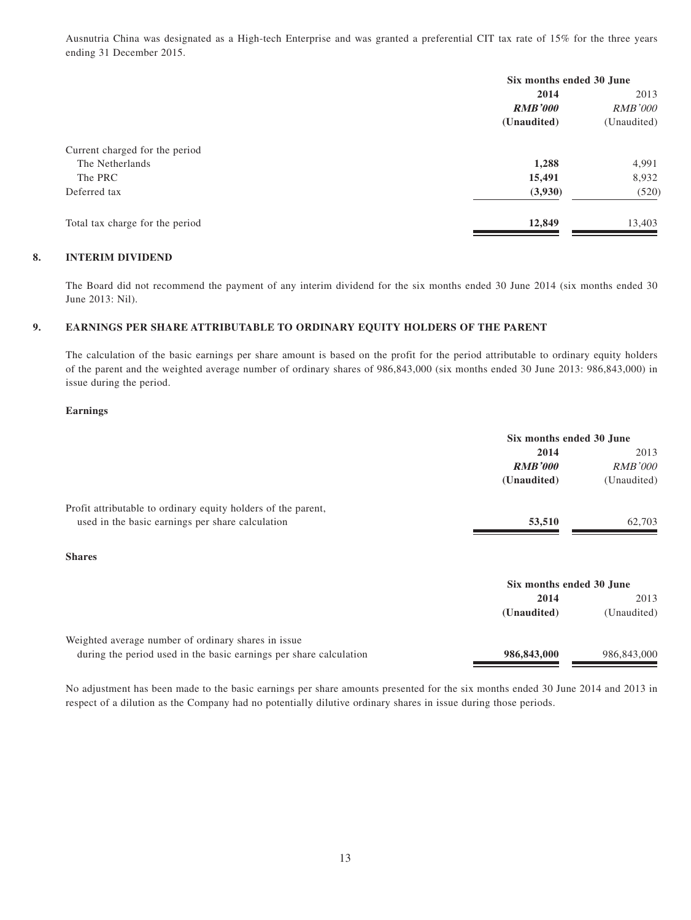Ausnutria China was designated as a High-tech Enterprise and was granted a preferential CIT tax rate of 15% for the three years ending 31 December 2015.

| Six months ended 30 June |                |
|--------------------------|----------------|
| 2014                     | 2013           |
| <b>RMB'000</b>           | <i>RMB'000</i> |
| (Unaudited)              | (Unaudited)    |
|                          |                |
| 1,288                    | 4,991          |
| 15,491                   | 8,932          |
| (3,930)                  | (520)          |
| 12,849                   | 13,403         |
|                          |                |

#### **8. INTERIM DIVIDEND**

The Board did not recommend the payment of any interim dividend for the six months ended 30 June 2014 (six months ended 30 June 2013: Nil).

#### **9. EARNINGS PER SHARE ATTRIBUTABLE TO ORDINARY EQUITY HOLDERS OF THE PARENT**

The calculation of the basic earnings per share amount is based on the profit for the period attributable to ordinary equity holders of the parent and the weighted average number of ordinary shares of 986,843,000 (six months ended 30 June 2013: 986,843,000) in issue during the period.

#### **Earnings**

|                                                                    | Six months ended 30 June |                |
|--------------------------------------------------------------------|--------------------------|----------------|
|                                                                    | 2014                     | 2013           |
|                                                                    | <b>RMB'000</b>           | <i>RMB'000</i> |
|                                                                    | (Unaudited)              | (Unaudited)    |
| Profit attributable to ordinary equity holders of the parent,      |                          |                |
| used in the basic earnings per share calculation                   | 53,510                   | 62,703         |
| <b>Shares</b>                                                      |                          |                |
|                                                                    | Six months ended 30 June |                |
|                                                                    | 2014                     | 2013           |
|                                                                    | (Unaudited)              | (Unaudited)    |
| Weighted average number of ordinary shares in issue                |                          |                |
| during the period used in the basic earnings per share calculation | 986,843,000              | 986,843,000    |

No adjustment has been made to the basic earnings per share amounts presented for the six months ended 30 June 2014 and 2013 in respect of a dilution as the Company had no potentially dilutive ordinary shares in issue during those periods.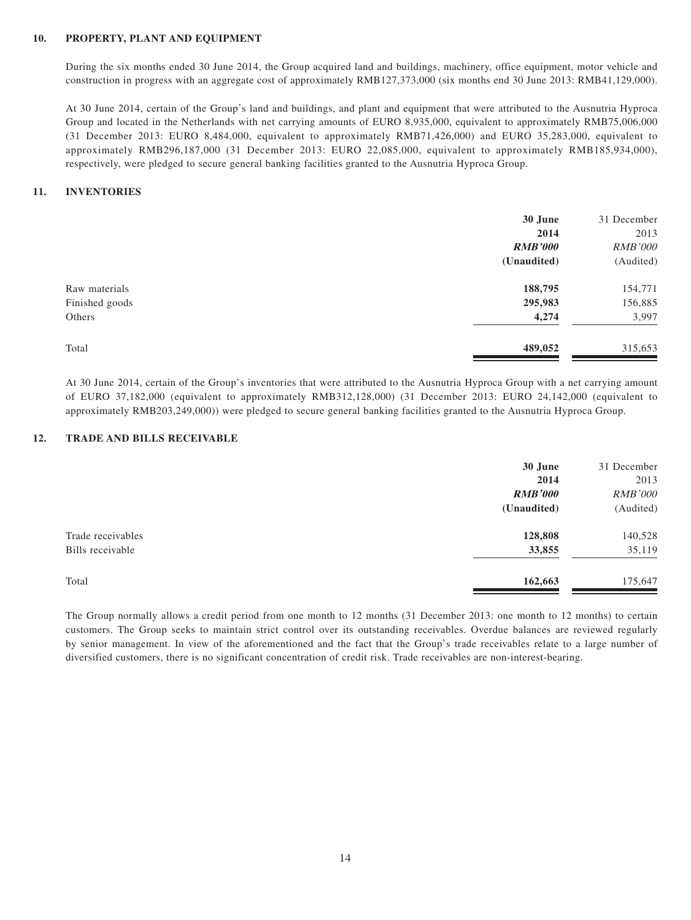#### **10. PROPERTY, PLANT AND EQUIPMENT**

During the six months ended 30 June 2014, the Group acquired land and buildings, machinery, office equipment, motor vehicle and construction in progress with an aggregate cost of approximately RMB127,373,000 (six months end 30 June 2013: RMB41,129,000).

At 30 June 2014, certain of the Group's land and buildings, and plant and equipment that were attributed to the Ausnutria Hyproca Group and located in the Netherlands with net carrying amounts of EURO 8,935,000, equivalent to approximately RMB75,006,000 (31 December 2013: EURO 8,484,000, equivalent to approximately RMB71,426,000) and EURO 35,283,000, equivalent to approximately RMB296,187,000 (31 December 2013: EURO 22,085,000, equivalent to approximately RMB185,934,000), respectively, were pledged to secure general banking facilities granted to the Ausnutria Hyproca Group.

#### **11. INVENTORIES**

|                | 30 June        | 31 December    |
|----------------|----------------|----------------|
|                | 2014           | 2013           |
|                | <b>RMB'000</b> | <b>RMB'000</b> |
|                | (Unaudited)    | (Audited)      |
| Raw materials  | 188,795        | 154,771        |
| Finished goods | 295,983        | 156,885        |
| Others         | 4,274          | 3,997          |
| Total          | 489,052        | 315,653        |

At 30 June 2014, certain of the Group's inventories that were attributed to the Ausnutria Hyproca Group with a net carrying amount of EURO 37,182,000 (equivalent to approximately RMB312,128,000) (31 December 2013: EURO 24,142,000 (equivalent to approximately RMB203,249,000)) were pledged to secure general banking facilities granted to the Ausnutria Hyproca Group.

#### **12. TRADE AND BILLS RECEIVABLE**

|                   | 30 June        | 31 December    |
|-------------------|----------------|----------------|
|                   | 2014           | 2013           |
|                   | <b>RMB'000</b> | <b>RMB'000</b> |
|                   | (Unaudited)    | (Audited)      |
| Trade receivables | 128,808        | 140,528        |
| Bills receivable  | 33,855         | 35,119         |
| Total             | 162,663        | 175,647        |
|                   |                |                |

The Group normally allows a credit period from one month to 12 months (31 December 2013: one month to 12 months) to certain customers. The Group seeks to maintain strict control over its outstanding receivables. Overdue balances are reviewed regularly by senior management. In view of the aforementioned and the fact that the Group's trade receivables relate to a large number of diversified customers, there is no significant concentration of credit risk. Trade receivables are non-interest-bearing.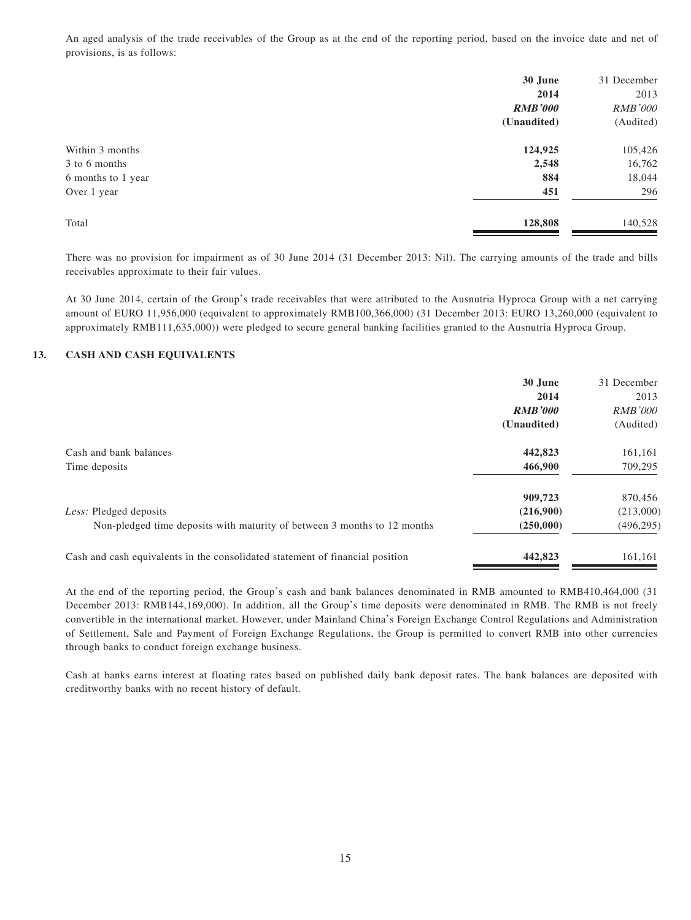An aged analysis of the trade receivables of the Group as at the end of the reporting period, based on the invoice date and net of provisions, is as follows:

|                    | 30 June        | 31 December    |
|--------------------|----------------|----------------|
|                    | 2014           | 2013           |
|                    | <b>RMB'000</b> | <b>RMB'000</b> |
|                    | (Unaudited)    | (Audited)      |
| Within 3 months    | 124,925        | 105,426        |
| 3 to 6 months      | 2,548          | 16,762         |
| 6 months to 1 year | 884            | 18,044         |
| Over 1 year        | 451            | 296            |
| Total              | 128,808        | 140,528        |

There was no provision for impairment as of 30 June 2014 (31 December 2013: Nil). The carrying amounts of the trade and bills receivables approximate to their fair values.

At 30 June 2014, certain of the Group's trade receivables that were attributed to the Ausnutria Hyproca Group with a net carrying amount of EURO 11,956,000 (equivalent to approximately RMB100,366,000) (31 December 2013: EURO 13,260,000 (equivalent to approximately RMB111,635,000)) were pledged to secure general banking facilities granted to the Ausnutria Hyproca Group.

#### **13. CASH AND CASH EQUIVALENTS**

|                                                                               | 30 June<br>2014 | 31 December<br>2013 |
|-------------------------------------------------------------------------------|-----------------|---------------------|
|                                                                               | <b>RMB'000</b>  | <i>RMB'000</i>      |
|                                                                               | (Unaudited)     | (Audited)           |
| Cash and bank balances                                                        | 442,823         | 161,161             |
| Time deposits                                                                 | 466,900         | 709,295             |
|                                                                               | 909,723         | 870,456             |
| Less: Pledged deposits                                                        | (216,900)       | (213,000)           |
| Non-pledged time deposits with maturity of between 3 months to 12 months      | (250,000)       | (496, 295)          |
| Cash and cash equivalents in the consolidated statement of financial position | 442,823         | 161,161             |

At the end of the reporting period, the Group's cash and bank balances denominated in RMB amounted to RMB410,464,000 (31 December 2013: RMB144,169,000). In addition, all the Group's time deposits were denominated in RMB. The RMB is not freely convertible in the international market. However, under Mainland China's Foreign Exchange Control Regulations and Administration of Settlement, Sale and Payment of Foreign Exchange Regulations, the Group is permitted to convert RMB into other currencies through banks to conduct foreign exchange business.

Cash at banks earns interest at floating rates based on published daily bank deposit rates. The bank balances are deposited with creditworthy banks with no recent history of default.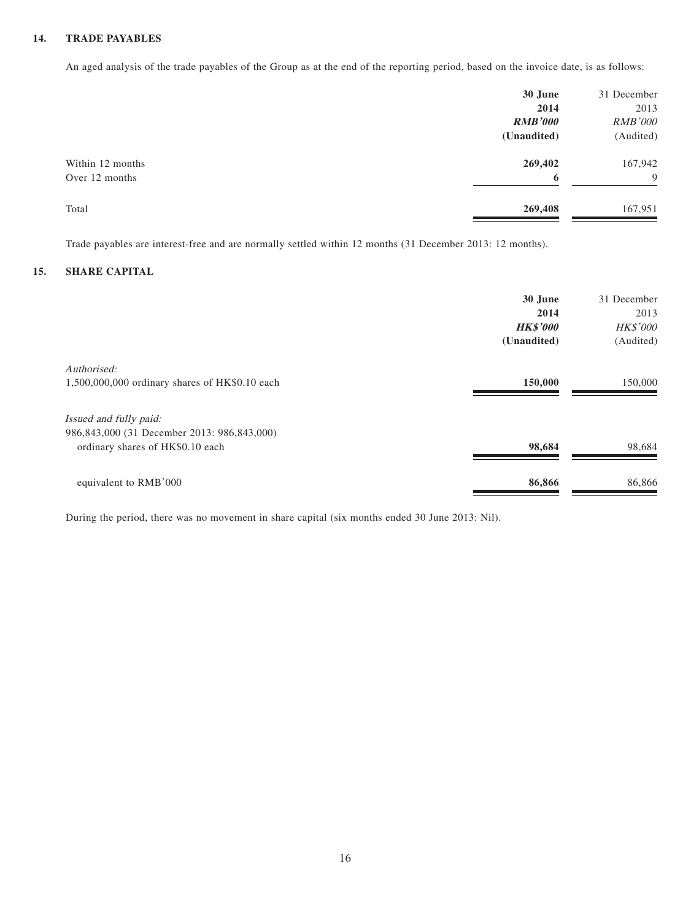#### **14. TRADE PAYABLES**

An aged analysis of the trade payables of the Group as at the end of the reporting period, based on the invoice date, is as follows:

|                  | 30 June        | 31 December    |
|------------------|----------------|----------------|
|                  | 2014           | 2013           |
|                  | <b>RMB'000</b> | <b>RMB'000</b> |
|                  | (Unaudited)    | (Audited)      |
| Within 12 months | 269,402        | 167,942        |
| Over 12 months   | 6              | 9              |
| Total            | 269,408        | 167,951        |

Trade payables are interest-free and are normally settled within 12 months (31 December 2013: 12 months).

#### **15. SHARE CAPITAL**

|                                                | 30 June<br>2014<br><b>HK\$'000</b><br>(Unaudited) | 31 December<br>2013<br><b>HK\$'000</b><br>(Audited) |
|------------------------------------------------|---------------------------------------------------|-----------------------------------------------------|
| Authorised:                                    | 150,000                                           |                                                     |
| 1,500,000,000 ordinary shares of HK\$0.10 each |                                                   | 150,000                                             |
| Issued and fully paid:                         |                                                   |                                                     |
| 986,843,000 (31 December 2013: 986,843,000)    |                                                   |                                                     |
| ordinary shares of HK\$0.10 each               | 98,684                                            | 98,684                                              |
| equivalent to RMB'000                          | 86,866                                            | 86,866                                              |

During the period, there was no movement in share capital (six months ended 30 June 2013: Nil).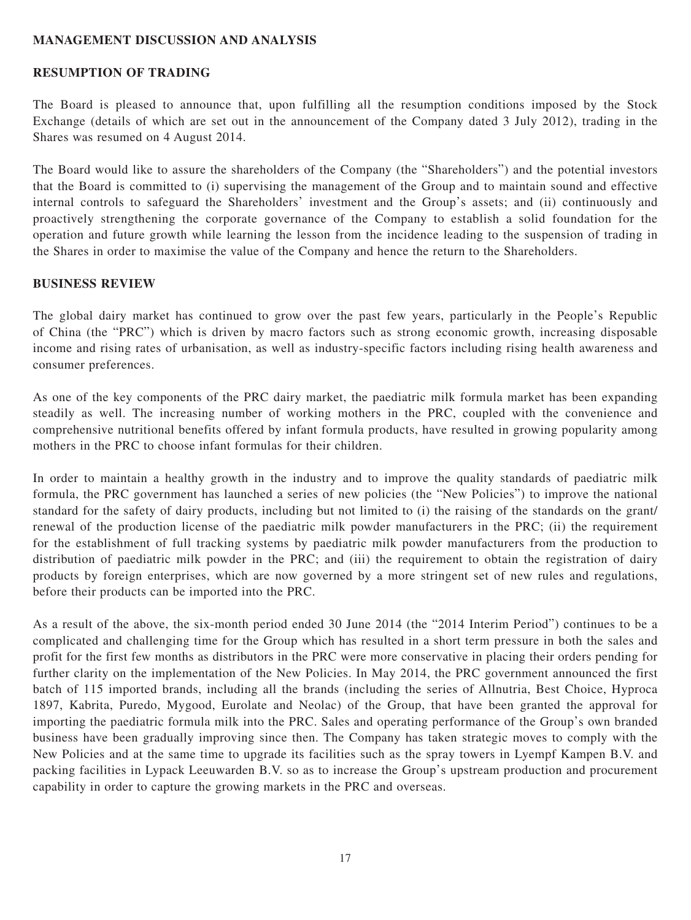## **MANAGEMENT DISCUSSION AND ANALYSIS**

## **RESUMPTION OF TRADING**

The Board is pleased to announce that, upon fulfilling all the resumption conditions imposed by the Stock Exchange (details of which are set out in the announcement of the Company dated 3 July 2012), trading in the Shares was resumed on 4 August 2014.

The Board would like to assure the shareholders of the Company (the "Shareholders") and the potential investors that the Board is committed to (i) supervising the management of the Group and to maintain sound and effective internal controls to safeguard the Shareholders' investment and the Group's assets; and (ii) continuously and proactively strengthening the corporate governance of the Company to establish a solid foundation for the operation and future growth while learning the lesson from the incidence leading to the suspension of trading in the Shares in order to maximise the value of the Company and hence the return to the Shareholders.

#### **BUSINESS REVIEW**

The global dairy market has continued to grow over the past few years, particularly in the People's Republic of China (the "PRC") which is driven by macro factors such as strong economic growth, increasing disposable income and rising rates of urbanisation, as well as industry-specific factors including rising health awareness and consumer preferences.

As one of the key components of the PRC dairy market, the paediatric milk formula market has been expanding steadily as well. The increasing number of working mothers in the PRC, coupled with the convenience and comprehensive nutritional benefits offered by infant formula products, have resulted in growing popularity among mothers in the PRC to choose infant formulas for their children.

In order to maintain a healthy growth in the industry and to improve the quality standards of paediatric milk formula, the PRC government has launched a series of new policies (the "New Policies") to improve the national standard for the safety of dairy products, including but not limited to (i) the raising of the standards on the grant/ renewal of the production license of the paediatric milk powder manufacturers in the PRC; (ii) the requirement for the establishment of full tracking systems by paediatric milk powder manufacturers from the production to distribution of paediatric milk powder in the PRC; and (iii) the requirement to obtain the registration of dairy products by foreign enterprises, which are now governed by a more stringent set of new rules and regulations, before their products can be imported into the PRC.

As a result of the above, the six-month period ended 30 June 2014 (the "2014 Interim Period") continues to be a complicated and challenging time for the Group which has resulted in a short term pressure in both the sales and profit for the first few months as distributors in the PRC were more conservative in placing their orders pending for further clarity on the implementation of the New Policies. In May 2014, the PRC government announced the first batch of 115 imported brands, including all the brands (including the series of Allnutria, Best Choice, Hyproca 1897, Kabrita, Puredo, Mygood, Eurolate and Neolac) of the Group, that have been granted the approval for importing the paediatric formula milk into the PRC. Sales and operating performance of the Group's own branded business have been gradually improving since then. The Company has taken strategic moves to comply with the New Policies and at the same time to upgrade its facilities such as the spray towers in Lyempf Kampen B.V. and packing facilities in Lypack Leeuwarden B.V. so as to increase the Group's upstream production and procurement capability in order to capture the growing markets in the PRC and overseas.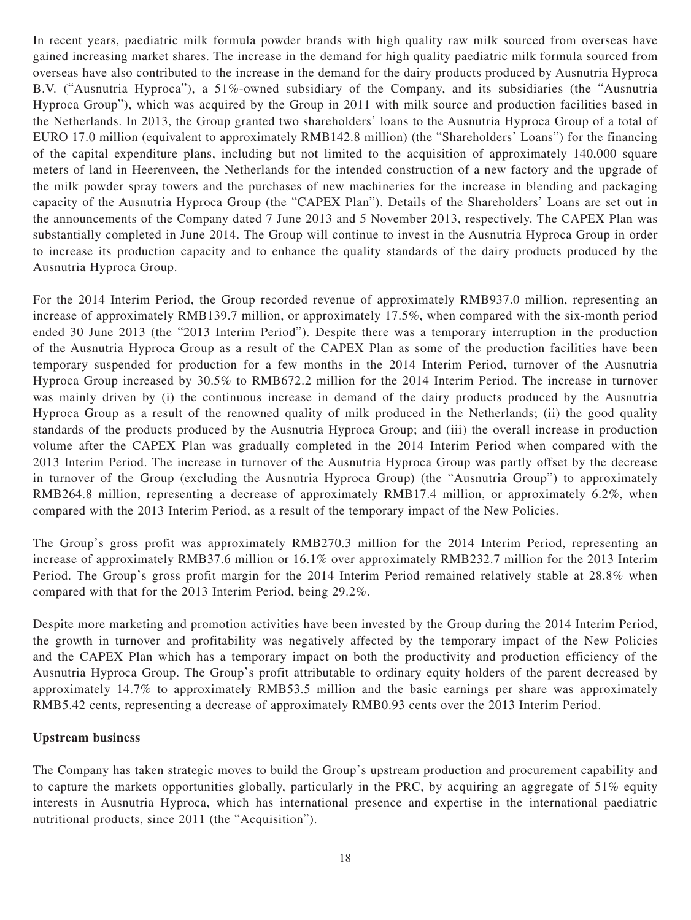In recent years, paediatric milk formula powder brands with high quality raw milk sourced from overseas have gained increasing market shares. The increase in the demand for high quality paediatric milk formula sourced from overseas have also contributed to the increase in the demand for the dairy products produced by Ausnutria Hyproca B.V. ("Ausnutria Hyproca"), a 51%-owned subsidiary of the Company, and its subsidiaries (the "Ausnutria Hyproca Group"), which was acquired by the Group in 2011 with milk source and production facilities based in the Netherlands. In 2013, the Group granted two shareholders' loans to the Ausnutria Hyproca Group of a total of EURO 17.0 million (equivalent to approximately RMB142.8 million) (the "Shareholders' Loans") for the financing of the capital expenditure plans, including but not limited to the acquisition of approximately 140,000 square meters of land in Heerenveen, the Netherlands for the intended construction of a new factory and the upgrade of the milk powder spray towers and the purchases of new machineries for the increase in blending and packaging capacity of the Ausnutria Hyproca Group (the "CAPEX Plan"). Details of the Shareholders' Loans are set out in the announcements of the Company dated 7 June 2013 and 5 November 2013, respectively. The CAPEX Plan was substantially completed in June 2014. The Group will continue to invest in the Ausnutria Hyproca Group in order to increase its production capacity and to enhance the quality standards of the dairy products produced by the Ausnutria Hyproca Group.

For the 2014 Interim Period, the Group recorded revenue of approximately RMB937.0 million, representing an increase of approximately RMB139.7 million, or approximately 17.5%, when compared with the six-month period ended 30 June 2013 (the "2013 Interim Period"). Despite there was a temporary interruption in the production of the Ausnutria Hyproca Group as a result of the CAPEX Plan as some of the production facilities have been temporary suspended for production for a few months in the 2014 Interim Period, turnover of the Ausnutria Hyproca Group increased by 30.5% to RMB672.2 million for the 2014 Interim Period. The increase in turnover was mainly driven by (i) the continuous increase in demand of the dairy products produced by the Ausnutria Hyproca Group as a result of the renowned quality of milk produced in the Netherlands; (ii) the good quality standards of the products produced by the Ausnutria Hyproca Group; and (iii) the overall increase in production volume after the CAPEX Plan was gradually completed in the 2014 Interim Period when compared with the 2013 Interim Period. The increase in turnover of the Ausnutria Hyproca Group was partly offset by the decrease in turnover of the Group (excluding the Ausnutria Hyproca Group) (the "Ausnutria Group") to approximately RMB264.8 million, representing a decrease of approximately RMB17.4 million, or approximately 6.2%, when compared with the 2013 Interim Period, as a result of the temporary impact of the New Policies.

The Group's gross profit was approximately RMB270.3 million for the 2014 Interim Period, representing an increase of approximately RMB37.6 million or 16.1% over approximately RMB232.7 million for the 2013 Interim Period. The Group's gross profit margin for the 2014 Interim Period remained relatively stable at 28.8% when compared with that for the 2013 Interim Period, being 29.2%.

Despite more marketing and promotion activities have been invested by the Group during the 2014 Interim Period, the growth in turnover and profitability was negatively affected by the temporary impact of the New Policies and the CAPEX Plan which has a temporary impact on both the productivity and production efficiency of the Ausnutria Hyproca Group. The Group's profit attributable to ordinary equity holders of the parent decreased by approximately 14.7% to approximately RMB53.5 million and the basic earnings per share was approximately RMB5.42 cents, representing a decrease of approximately RMB0.93 cents over the 2013 Interim Period.

## **Upstream business**

The Company has taken strategic moves to build the Group's upstream production and procurement capability and to capture the markets opportunities globally, particularly in the PRC, by acquiring an aggregate of 51% equity interests in Ausnutria Hyproca, which has international presence and expertise in the international paediatric nutritional products, since 2011 (the "Acquisition").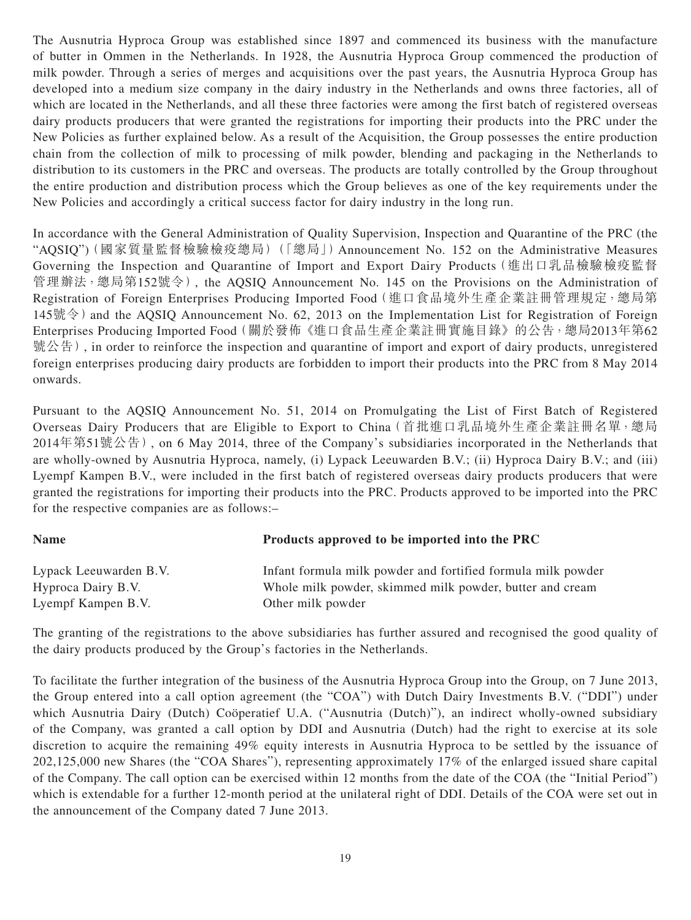The Ausnutria Hyproca Group was established since 1897 and commenced its business with the manufacture of butter in Ommen in the Netherlands. In 1928, the Ausnutria Hyproca Group commenced the production of milk powder. Through a series of merges and acquisitions over the past years, the Ausnutria Hyproca Group has developed into a medium size company in the dairy industry in the Netherlands and owns three factories, all of which are located in the Netherlands, and all these three factories were among the first batch of registered overseas dairy products producers that were granted the registrations for importing their products into the PRC under the New Policies as further explained below. As a result of the Acquisition, the Group possesses the entire production chain from the collection of milk to processing of milk powder, blending and packaging in the Netherlands to distribution to its customers in the PRC and overseas. The products are totally controlled by the Group throughout the entire production and distribution process which the Group believes as one of the key requirements under the New Policies and accordingly a critical success factor for dairy industry in the long run.

In accordance with the General Administration of Quality Supervision, Inspection and Quarantine of the PRC (the "AQSIQ")(國家質量監督檢驗檢疫總局)(「總局」)Announcement No. 152 on the Administrative Measures Governing the Inspection and Quarantine of Import and Export Dairy Products(進出口乳品檢驗檢疫監督 管理辦法,總局第152號令), the AQSIQ Announcement No. 145 on the Provisions on the Administration of Registration of Foreign Enterprises Producing Imported Food(進口食品境外生產企業註冊管理規定,總局第  $145$ 號令) and the AOSIO Announcement No. 62, 2013 on the Implementation List for Registration of Foreign Enterprises Producing Imported Food(關於發佈《進口食品生產企業註冊實施目錄》的公告,總局2013年第62 號公告), in order to reinforce the inspection and quarantine of import and export of dairy products, unregistered foreign enterprises producing dairy products are forbidden to import their products into the PRC from 8 May 2014 onwards.

Pursuant to the AQSIQ Announcement No. 51, 2014 on Promulgating the List of First Batch of Registered Overseas Dairy Producers that are Eligible to Export to China(首批進口乳品境外生產企業註冊名單,總局 2014年第51號公告), on 6 May 2014, three of the Company's subsidiaries incorporated in the Netherlands that are wholly-owned by Ausnutria Hyproca, namely, (i) Lypack Leeuwarden B.V.; (ii) Hyproca Dairy B.V.; and (iii) Lyempf Kampen B.V., were included in the first batch of registered overseas dairy products producers that were granted the registrations for importing their products into the PRC. Products approved to be imported into the PRC for the respective companies are as follows:–

| <b>Name</b>                                                                   | Products approved to be imported into the PRC |
|-------------------------------------------------------------------------------|-----------------------------------------------|
|                                                                               |                                               |
| $\mathbf{I}$ $\mathbf{I}$ $\mathbf{I}$ $\mathbf{I}$ $\mathbf{I}$ $\mathbf{N}$ |                                               |

| Lypack Leeuwarden B.V. | Infant formula milk powder and fortified formula milk powder |
|------------------------|--------------------------------------------------------------|
| Hyproca Dairy B.V.     | Whole milk powder, skimmed milk powder, butter and cream     |
| Lyempf Kampen B.V.     | Other milk powder                                            |

The granting of the registrations to the above subsidiaries has further assured and recognised the good quality of the dairy products produced by the Group's factories in the Netherlands.

To facilitate the further integration of the business of the Ausnutria Hyproca Group into the Group, on 7 June 2013, the Group entered into a call option agreement (the "COA") with Dutch Dairy Investments B.V. ("DDI") under which Ausnutria Dairy (Dutch) Coöperatief U.A. ("Ausnutria (Dutch)"), an indirect wholly-owned subsidiary of the Company, was granted a call option by DDI and Ausnutria (Dutch) had the right to exercise at its sole discretion to acquire the remaining 49% equity interests in Ausnutria Hyproca to be settled by the issuance of 202,125,000 new Shares (the "COA Shares"), representing approximately 17% of the enlarged issued share capital of the Company. The call option can be exercised within 12 months from the date of the COA (the "Initial Period") which is extendable for a further 12-month period at the unilateral right of DDI. Details of the COA were set out in the announcement of the Company dated 7 June 2013.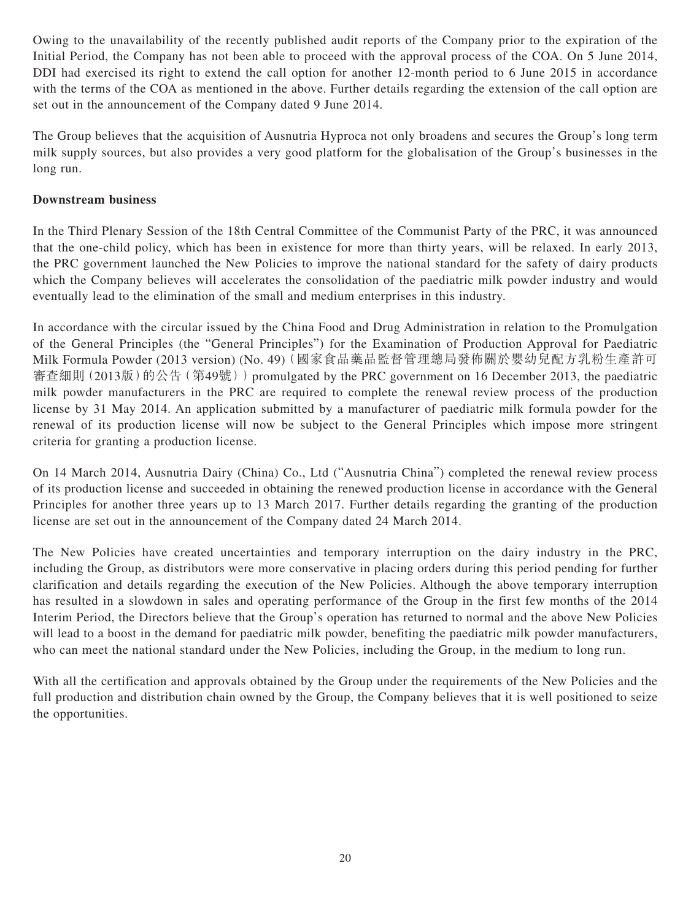Owing to the unavailability of the recently published audit reports of the Company prior to the expiration of the Initial Period, the Company has not been able to proceed with the approval process of the COA. On 5 June 2014, DDI had exercised its right to extend the call option for another 12-month period to 6 June 2015 in accordance with the terms of the COA as mentioned in the above. Further details regarding the extension of the call option are set out in the announcement of the Company dated 9 June 2014.

The Group believes that the acquisition of Ausnutria Hyproca not only broadens and secures the Group's long term milk supply sources, but also provides a very good platform for the globalisation of the Group's businesses in the long run.

## **Downstream business**

In the Third Plenary Session of the 18th Central Committee of the Communist Party of the PRC, it was announced that the one-child policy, which has been in existence for more than thirty years, will be relaxed. In early 2013, the PRC government launched the New Policies to improve the national standard for the safety of dairy products which the Company believes will accelerates the consolidation of the paediatric milk powder industry and would eventually lead to the elimination of the small and medium enterprises in this industry.

In accordance with the circular issued by the China Food and Drug Administration in relation to the Promulgation of the General Principles (the "General Principles") for the Examination of Production Approval for Paediatric Milk Formula Powder (2013 version) (No. 49)(國家食品藥品監督管理總局發佈關於嬰幼兒配方乳粉生產許可 審查細則 (2013版)的公告 (第49號)) promulgated by the PRC government on 16 December 2013, the paediatric milk powder manufacturers in the PRC are required to complete the renewal review process of the production license by 31 May 2014. An application submitted by a manufacturer of paediatric milk formula powder for the renewal of its production license will now be subject to the General Principles which impose more stringent criteria for granting a production license.

On 14 March 2014, Ausnutria Dairy (China) Co., Ltd ("Ausnutria China") completed the renewal review process of its production license and succeeded in obtaining the renewed production license in accordance with the General Principles for another three years up to 13 March 2017. Further details regarding the granting of the production license are set out in the announcement of the Company dated 24 March 2014.

The New Policies have created uncertainties and temporary interruption on the dairy industry in the PRC, including the Group, as distributors were more conservative in placing orders during this period pending for further clarification and details regarding the execution of the New Policies. Although the above temporary interruption has resulted in a slowdown in sales and operating performance of the Group in the first few months of the 2014 Interim Period, the Directors believe that the Group's operation has returned to normal and the above New Policies will lead to a boost in the demand for paediatric milk powder, benefiting the paediatric milk powder manufacturers, who can meet the national standard under the New Policies, including the Group, in the medium to long run.

With all the certification and approvals obtained by the Group under the requirements of the New Policies and the full production and distribution chain owned by the Group, the Company believes that it is well positioned to seize the opportunities.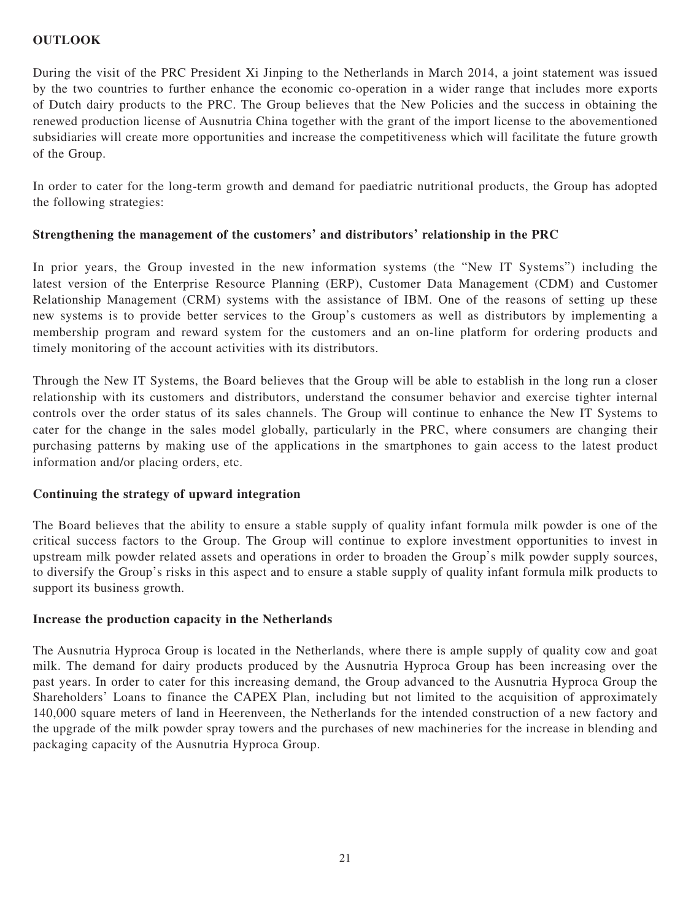# **OUTLOOK**

During the visit of the PRC President Xi Jinping to the Netherlands in March 2014, a joint statement was issued by the two countries to further enhance the economic co-operation in a wider range that includes more exports of Dutch dairy products to the PRC. The Group believes that the New Policies and the success in obtaining the renewed production license of Ausnutria China together with the grant of the import license to the abovementioned subsidiaries will create more opportunities and increase the competitiveness which will facilitate the future growth of the Group.

In order to cater for the long-term growth and demand for paediatric nutritional products, the Group has adopted the following strategies:

# **Strengthening the management of the customers' and distributors' relationship in the PRC**

In prior years, the Group invested in the new information systems (the "New IT Systems") including the latest version of the Enterprise Resource Planning (ERP), Customer Data Management (CDM) and Customer Relationship Management (CRM) systems with the assistance of IBM. One of the reasons of setting up these new systems is to provide better services to the Group's customers as well as distributors by implementing a membership program and reward system for the customers and an on-line platform for ordering products and timely monitoring of the account activities with its distributors.

Through the New IT Systems, the Board believes that the Group will be able to establish in the long run a closer relationship with its customers and distributors, understand the consumer behavior and exercise tighter internal controls over the order status of its sales channels. The Group will continue to enhance the New IT Systems to cater for the change in the sales model globally, particularly in the PRC, where consumers are changing their purchasing patterns by making use of the applications in the smartphones to gain access to the latest product information and/or placing orders, etc.

## **Continuing the strategy of upward integration**

The Board believes that the ability to ensure a stable supply of quality infant formula milk powder is one of the critical success factors to the Group. The Group will continue to explore investment opportunities to invest in upstream milk powder related assets and operations in order to broaden the Group's milk powder supply sources, to diversify the Group's risks in this aspect and to ensure a stable supply of quality infant formula milk products to support its business growth.

## **Increase the production capacity in the Netherlands**

The Ausnutria Hyproca Group is located in the Netherlands, where there is ample supply of quality cow and goat milk. The demand for dairy products produced by the Ausnutria Hyproca Group has been increasing over the past years. In order to cater for this increasing demand, the Group advanced to the Ausnutria Hyproca Group the Shareholders' Loans to finance the CAPEX Plan, including but not limited to the acquisition of approximately 140,000 square meters of land in Heerenveen, the Netherlands for the intended construction of a new factory and the upgrade of the milk powder spray towers and the purchases of new machineries for the increase in blending and packaging capacity of the Ausnutria Hyproca Group.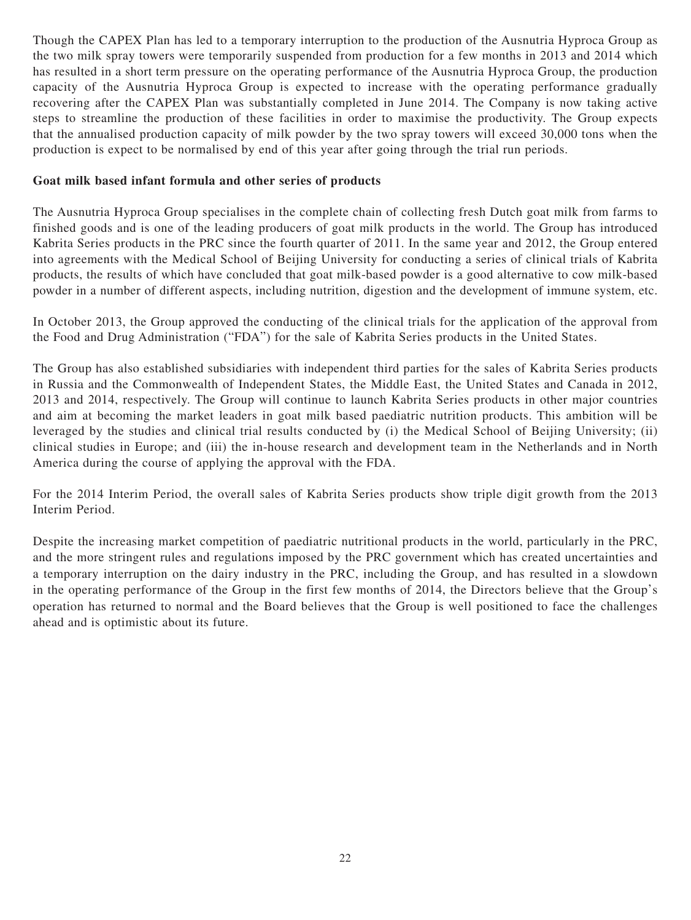Though the CAPEX Plan has led to a temporary interruption to the production of the Ausnutria Hyproca Group as the two milk spray towers were temporarily suspended from production for a few months in 2013 and 2014 which has resulted in a short term pressure on the operating performance of the Ausnutria Hyproca Group, the production capacity of the Ausnutria Hyproca Group is expected to increase with the operating performance gradually recovering after the CAPEX Plan was substantially completed in June 2014. The Company is now taking active steps to streamline the production of these facilities in order to maximise the productivity. The Group expects that the annualised production capacity of milk powder by the two spray towers will exceed 30,000 tons when the production is expect to be normalised by end of this year after going through the trial run periods.

## **Goat milk based infant formula and other series of products**

The Ausnutria Hyproca Group specialises in the complete chain of collecting fresh Dutch goat milk from farms to finished goods and is one of the leading producers of goat milk products in the world. The Group has introduced Kabrita Series products in the PRC since the fourth quarter of 2011. In the same year and 2012, the Group entered into agreements with the Medical School of Beijing University for conducting a series of clinical trials of Kabrita products, the results of which have concluded that goat milk-based powder is a good alternative to cow milk-based powder in a number of different aspects, including nutrition, digestion and the development of immune system, etc.

In October 2013, the Group approved the conducting of the clinical trials for the application of the approval from the Food and Drug Administration ("FDA") for the sale of Kabrita Series products in the United States.

The Group has also established subsidiaries with independent third parties for the sales of Kabrita Series products in Russia and the Commonwealth of Independent States, the Middle East, the United States and Canada in 2012, 2013 and 2014, respectively. The Group will continue to launch Kabrita Series products in other major countries and aim at becoming the market leaders in goat milk based paediatric nutrition products. This ambition will be leveraged by the studies and clinical trial results conducted by (i) the Medical School of Beijing University; (ii) clinical studies in Europe; and (iii) the in-house research and development team in the Netherlands and in North America during the course of applying the approval with the FDA.

For the 2014 Interim Period, the overall sales of Kabrita Series products show triple digit growth from the 2013 Interim Period.

Despite the increasing market competition of paediatric nutritional products in the world, particularly in the PRC, and the more stringent rules and regulations imposed by the PRC government which has created uncertainties and a temporary interruption on the dairy industry in the PRC, including the Group, and has resulted in a slowdown in the operating performance of the Group in the first few months of 2014, the Directors believe that the Group's operation has returned to normal and the Board believes that the Group is well positioned to face the challenges ahead and is optimistic about its future.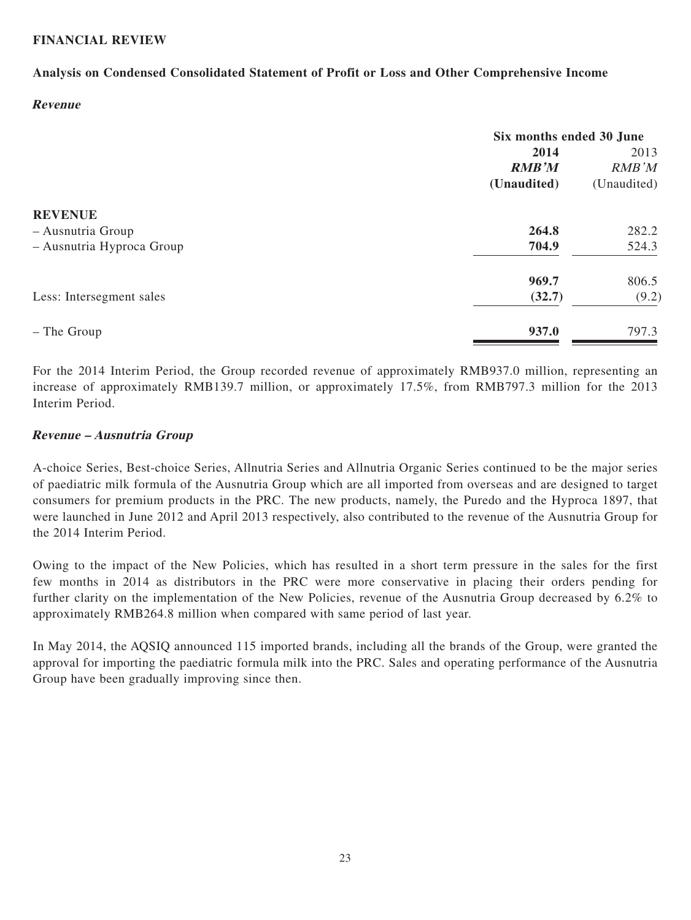## **FINANCIAL REVIEW**

## **Analysis on Condensed Consolidated Statement of Profit or Loss and Other Comprehensive Income**

#### **Revenue**

| Six months ended 30 June |             |
|--------------------------|-------------|
| 2014                     | 2013        |
| <b>RMB'M</b>             | RMB'M       |
| (Unaudited)              | (Unaudited) |
|                          |             |
| 264.8                    | 282.2       |
| 704.9                    | 524.3       |
| 969.7                    | 806.5       |
| (32.7)                   | (9.2)       |
| 937.0                    | 797.3       |
|                          |             |

For the 2014 Interim Period, the Group recorded revenue of approximately RMB937.0 million, representing an increase of approximately RMB139.7 million, or approximately 17.5%, from RMB797.3 million for the 2013 Interim Period.

## **Revenue – Ausnutria Group**

A-choice Series, Best-choice Series, Allnutria Series and Allnutria Organic Series continued to be the major series of paediatric milk formula of the Ausnutria Group which are all imported from overseas and are designed to target consumers for premium products in the PRC. The new products, namely, the Puredo and the Hyproca 1897, that were launched in June 2012 and April 2013 respectively, also contributed to the revenue of the Ausnutria Group for the 2014 Interim Period.

Owing to the impact of the New Policies, which has resulted in a short term pressure in the sales for the first few months in 2014 as distributors in the PRC were more conservative in placing their orders pending for further clarity on the implementation of the New Policies, revenue of the Ausnutria Group decreased by 6.2% to approximately RMB264.8 million when compared with same period of last year.

In May 2014, the AQSIQ announced 115 imported brands, including all the brands of the Group, were granted the approval for importing the paediatric formula milk into the PRC. Sales and operating performance of the Ausnutria Group have been gradually improving since then.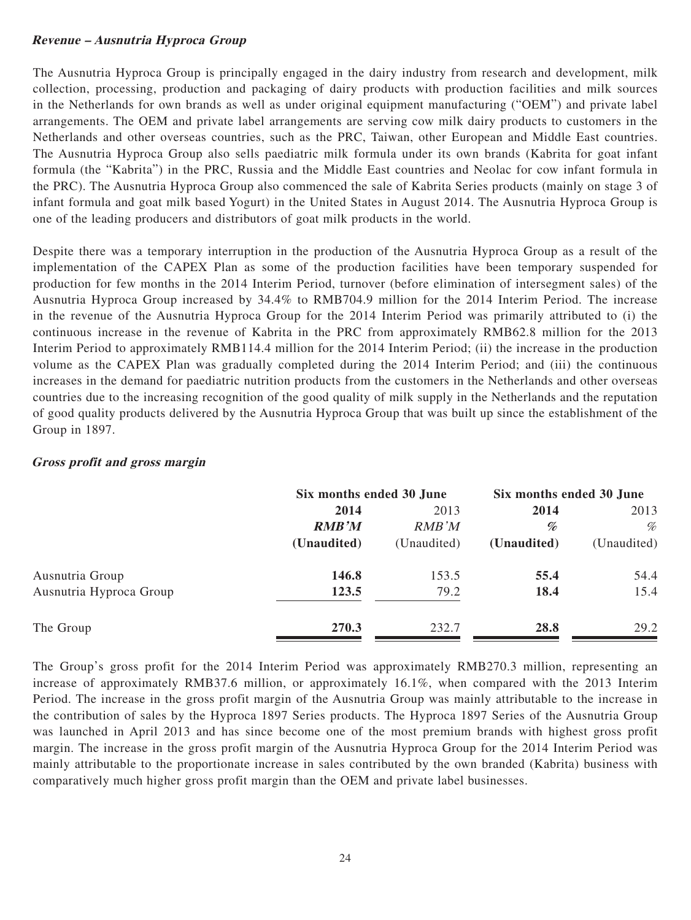## **Revenue – Ausnutria Hyproca Group**

The Ausnutria Hyproca Group is principally engaged in the dairy industry from research and development, milk collection, processing, production and packaging of dairy products with production facilities and milk sources in the Netherlands for own brands as well as under original equipment manufacturing ("OEM") and private label arrangements. The OEM and private label arrangements are serving cow milk dairy products to customers in the Netherlands and other overseas countries, such as the PRC, Taiwan, other European and Middle East countries. The Ausnutria Hyproca Group also sells paediatric milk formula under its own brands (Kabrita for goat infant formula (the "Kabrita") in the PRC, Russia and the Middle East countries and Neolac for cow infant formula in the PRC). The Ausnutria Hyproca Group also commenced the sale of Kabrita Series products (mainly on stage 3 of infant formula and goat milk based Yogurt) in the United States in August 2014. The Ausnutria Hyproca Group is one of the leading producers and distributors of goat milk products in the world.

Despite there was a temporary interruption in the production of the Ausnutria Hyproca Group as a result of the implementation of the CAPEX Plan as some of the production facilities have been temporary suspended for production for few months in the 2014 Interim Period, turnover (before elimination of intersegment sales) of the Ausnutria Hyproca Group increased by 34.4% to RMB704.9 million for the 2014 Interim Period. The increase in the revenue of the Ausnutria Hyproca Group for the 2014 Interim Period was primarily attributed to (i) the continuous increase in the revenue of Kabrita in the PRC from approximately RMB62.8 million for the 2013 Interim Period to approximately RMB114.4 million for the 2014 Interim Period; (ii) the increase in the production volume as the CAPEX Plan was gradually completed during the 2014 Interim Period; and (iii) the continuous increases in the demand for paediatric nutrition products from the customers in the Netherlands and other overseas countries due to the increasing recognition of the good quality of milk supply in the Netherlands and the reputation of good quality products delivered by the Ausnutria Hyproca Group that was built up since the establishment of the Group in 1897.

## **Gross profit and gross margin**

|                         |              | Six months ended 30 June |             | Six months ended 30 June |  |  |
|-------------------------|--------------|--------------------------|-------------|--------------------------|--|--|
|                         | 2014         | 2013                     | 2014        | 2013                     |  |  |
|                         | <b>RMB'M</b> | RMB'M                    | %           | %                        |  |  |
|                         | (Unaudited)  | (Unaudited)              | (Unaudited) | (Unaudited)              |  |  |
| Ausnutria Group         | 146.8        | 153.5                    | 55.4        | 54.4                     |  |  |
| Ausnutria Hyproca Group | 123.5        | 79.2                     | 18.4        | 15.4                     |  |  |
| The Group               | 270.3        | 232.7                    | 28.8        | 29.2                     |  |  |

The Group's gross profit for the 2014 Interim Period was approximately RMB270.3 million, representing an increase of approximately RMB37.6 million, or approximately 16.1%, when compared with the 2013 Interim Period. The increase in the gross profit margin of the Ausnutria Group was mainly attributable to the increase in the contribution of sales by the Hyproca 1897 Series products. The Hyproca 1897 Series of the Ausnutria Group was launched in April 2013 and has since become one of the most premium brands with highest gross profit margin. The increase in the gross profit margin of the Ausnutria Hyproca Group for the 2014 Interim Period was mainly attributable to the proportionate increase in sales contributed by the own branded (Kabrita) business with comparatively much higher gross profit margin than the OEM and private label businesses.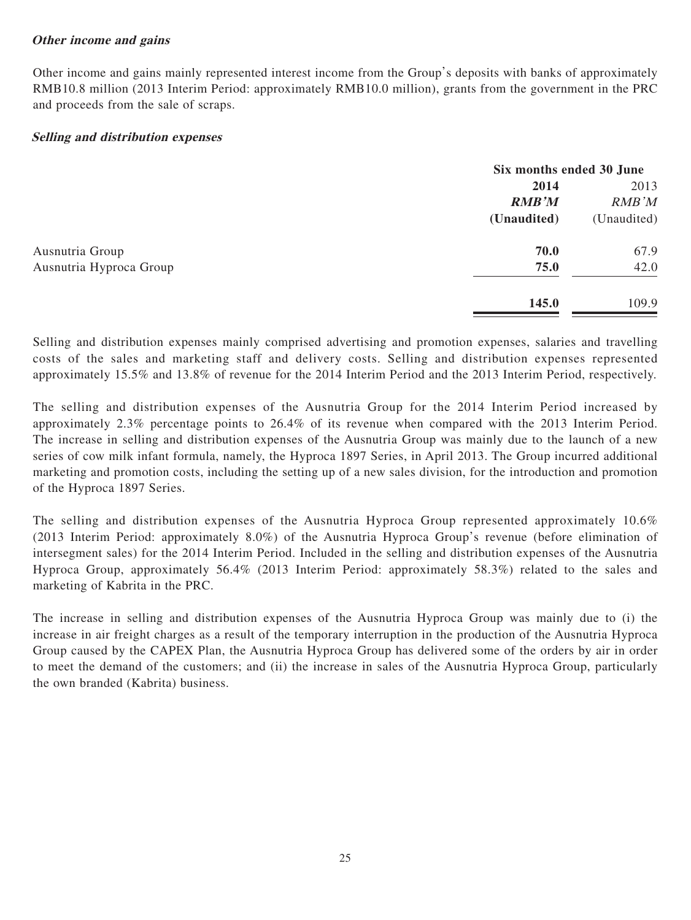## **Other income and gains**

Other income and gains mainly represented interest income from the Group's deposits with banks of approximately RMB10.8 million (2013 Interim Period: approximately RMB10.0 million), grants from the government in the PRC and proceeds from the sale of scraps.

## **Selling and distribution expenses**

|                         |              | Six months ended 30 June |  |
|-------------------------|--------------|--------------------------|--|
|                         | 2014         | 2013                     |  |
|                         | <b>RMB'M</b> | RMB'M                    |  |
|                         | (Unaudited)  | (Unaudited)              |  |
| Ausnutria Group         | 70.0         | 67.9                     |  |
| Ausnutria Hyproca Group | 75.0         | 42.0                     |  |
|                         | 145.0        | 109.9                    |  |

Selling and distribution expenses mainly comprised advertising and promotion expenses, salaries and travelling costs of the sales and marketing staff and delivery costs. Selling and distribution expenses represented approximately 15.5% and 13.8% of revenue for the 2014 Interim Period and the 2013 Interim Period, respectively.

The selling and distribution expenses of the Ausnutria Group for the 2014 Interim Period increased by approximately 2.3% percentage points to 26.4% of its revenue when compared with the 2013 Interim Period. The increase in selling and distribution expenses of the Ausnutria Group was mainly due to the launch of a new series of cow milk infant formula, namely, the Hyproca 1897 Series, in April 2013. The Group incurred additional marketing and promotion costs, including the setting up of a new sales division, for the introduction and promotion of the Hyproca 1897 Series.

The selling and distribution expenses of the Ausnutria Hyproca Group represented approximately 10.6% (2013 Interim Period: approximately 8.0%) of the Ausnutria Hyproca Group's revenue (before elimination of intersegment sales) for the 2014 Interim Period. Included in the selling and distribution expenses of the Ausnutria Hyproca Group, approximately 56.4% (2013 Interim Period: approximately 58.3%) related to the sales and marketing of Kabrita in the PRC.

The increase in selling and distribution expenses of the Ausnutria Hyproca Group was mainly due to (i) the increase in air freight charges as a result of the temporary interruption in the production of the Ausnutria Hyproca Group caused by the CAPEX Plan, the Ausnutria Hyproca Group has delivered some of the orders by air in order to meet the demand of the customers; and (ii) the increase in sales of the Ausnutria Hyproca Group, particularly the own branded (Kabrita) business.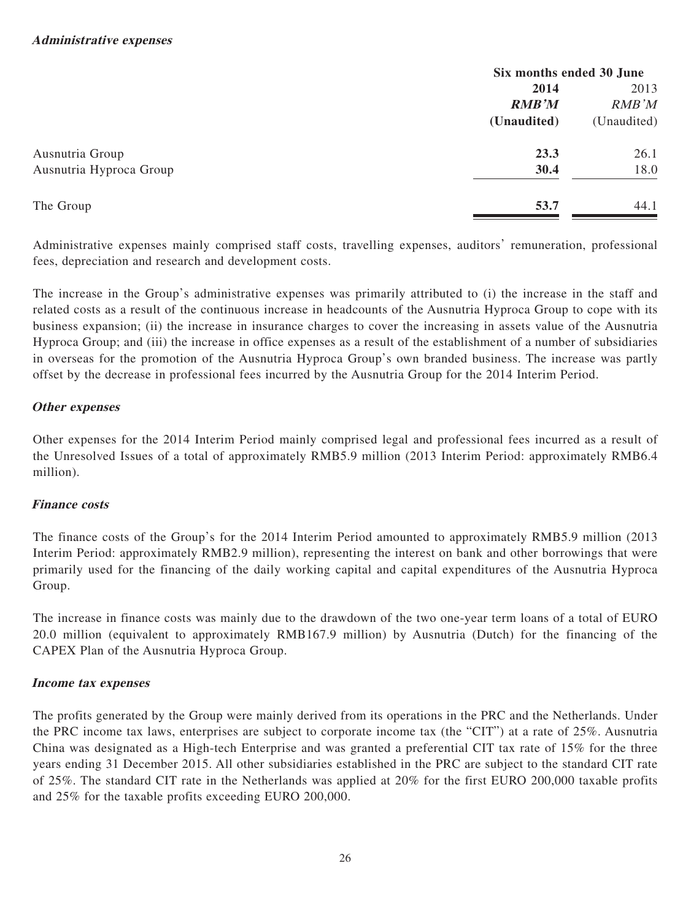|                         | Six months ended 30 June |             |  |
|-------------------------|--------------------------|-------------|--|
|                         | 2014                     | 2013        |  |
|                         | <b>RMB'M</b>             | RMB'M       |  |
|                         | (Unaudited)              | (Unaudited) |  |
| Ausnutria Group         | 23.3                     | 26.1        |  |
| Ausnutria Hyproca Group | 30.4                     | 18.0        |  |
| The Group               | 53.7                     | 44.1        |  |

Administrative expenses mainly comprised staff costs, travelling expenses, auditors' remuneration, professional fees, depreciation and research and development costs.

The increase in the Group's administrative expenses was primarily attributed to (i) the increase in the staff and related costs as a result of the continuous increase in headcounts of the Ausnutria Hyproca Group to cope with its business expansion; (ii) the increase in insurance charges to cover the increasing in assets value of the Ausnutria Hyproca Group; and (iii) the increase in office expenses as a result of the establishment of a number of subsidiaries in overseas for the promotion of the Ausnutria Hyproca Group's own branded business. The increase was partly offset by the decrease in professional fees incurred by the Ausnutria Group for the 2014 Interim Period.

# **Other expenses**

Other expenses for the 2014 Interim Period mainly comprised legal and professional fees incurred as a result of the Unresolved Issues of a total of approximately RMB5.9 million (2013 Interim Period: approximately RMB6.4 million).

# **Finance costs**

The finance costs of the Group's for the 2014 Interim Period amounted to approximately RMB5.9 million (2013 Interim Period: approximately RMB2.9 million), representing the interest on bank and other borrowings that were primarily used for the financing of the daily working capital and capital expenditures of the Ausnutria Hyproca Group.

The increase in finance costs was mainly due to the drawdown of the two one-year term loans of a total of EURO 20.0 million (equivalent to approximately RMB167.9 million) by Ausnutria (Dutch) for the financing of the CAPEX Plan of the Ausnutria Hyproca Group.

# **Income tax expenses**

The profits generated by the Group were mainly derived from its operations in the PRC and the Netherlands. Under the PRC income tax laws, enterprises are subject to corporate income tax (the "CIT") at a rate of 25%. Ausnutria China was designated as a High-tech Enterprise and was granted a preferential CIT tax rate of 15% for the three years ending 31 December 2015. All other subsidiaries established in the PRC are subject to the standard CIT rate of 25%. The standard CIT rate in the Netherlands was applied at 20% for the first EURO 200,000 taxable profits and 25% for the taxable profits exceeding EURO 200,000.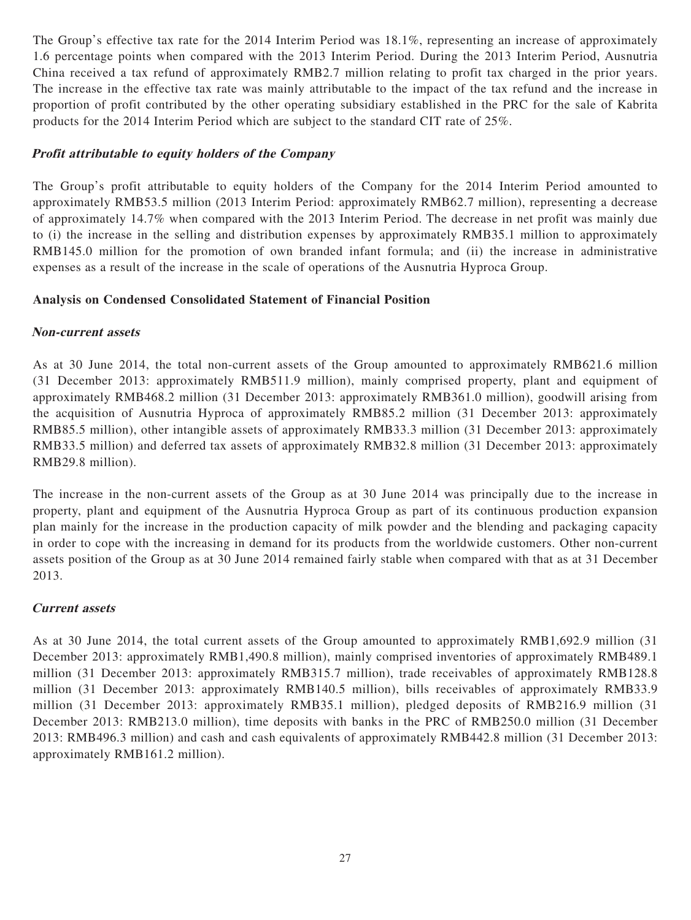The Group's effective tax rate for the 2014 Interim Period was 18.1%, representing an increase of approximately 1.6 percentage points when compared with the 2013 Interim Period. During the 2013 Interim Period, Ausnutria China received a tax refund of approximately RMB2.7 million relating to profit tax charged in the prior years. The increase in the effective tax rate was mainly attributable to the impact of the tax refund and the increase in proportion of profit contributed by the other operating subsidiary established in the PRC for the sale of Kabrita products for the 2014 Interim Period which are subject to the standard CIT rate of 25%.

## **Profit attributable to equity holders of the Company**

The Group's profit attributable to equity holders of the Company for the 2014 Interim Period amounted to approximately RMB53.5 million (2013 Interim Period: approximately RMB62.7 million), representing a decrease of approximately 14.7% when compared with the 2013 Interim Period. The decrease in net profit was mainly due to (i) the increase in the selling and distribution expenses by approximately RMB35.1 million to approximately RMB145.0 million for the promotion of own branded infant formula; and (ii) the increase in administrative expenses as a result of the increase in the scale of operations of the Ausnutria Hyproca Group.

## **Analysis on Condensed Consolidated Statement of Financial Position**

## **Non-current assets**

As at 30 June 2014, the total non-current assets of the Group amounted to approximately RMB621.6 million (31 December 2013: approximately RMB511.9 million), mainly comprised property, plant and equipment of approximately RMB468.2 million (31 December 2013: approximately RMB361.0 million), goodwill arising from the acquisition of Ausnutria Hyproca of approximately RMB85.2 million (31 December 2013: approximately RMB85.5 million), other intangible assets of approximately RMB33.3 million (31 December 2013: approximately RMB33.5 million) and deferred tax assets of approximately RMB32.8 million (31 December 2013: approximately RMB29.8 million).

The increase in the non-current assets of the Group as at 30 June 2014 was principally due to the increase in property, plant and equipment of the Ausnutria Hyproca Group as part of its continuous production expansion plan mainly for the increase in the production capacity of milk powder and the blending and packaging capacity in order to cope with the increasing in demand for its products from the worldwide customers. Other non-current assets position of the Group as at 30 June 2014 remained fairly stable when compared with that as at 31 December 2013.

## **Current assets**

As at 30 June 2014, the total current assets of the Group amounted to approximately RMB1,692.9 million (31 December 2013: approximately RMB1,490.8 million), mainly comprised inventories of approximately RMB489.1 million (31 December 2013: approximately RMB315.7 million), trade receivables of approximately RMB128.8 million (31 December 2013: approximately RMB140.5 million), bills receivables of approximately RMB33.9 million (31 December 2013: approximately RMB35.1 million), pledged deposits of RMB216.9 million (31 December 2013: RMB213.0 million), time deposits with banks in the PRC of RMB250.0 million (31 December 2013: RMB496.3 million) and cash and cash equivalents of approximately RMB442.8 million (31 December 2013: approximately RMB161.2 million).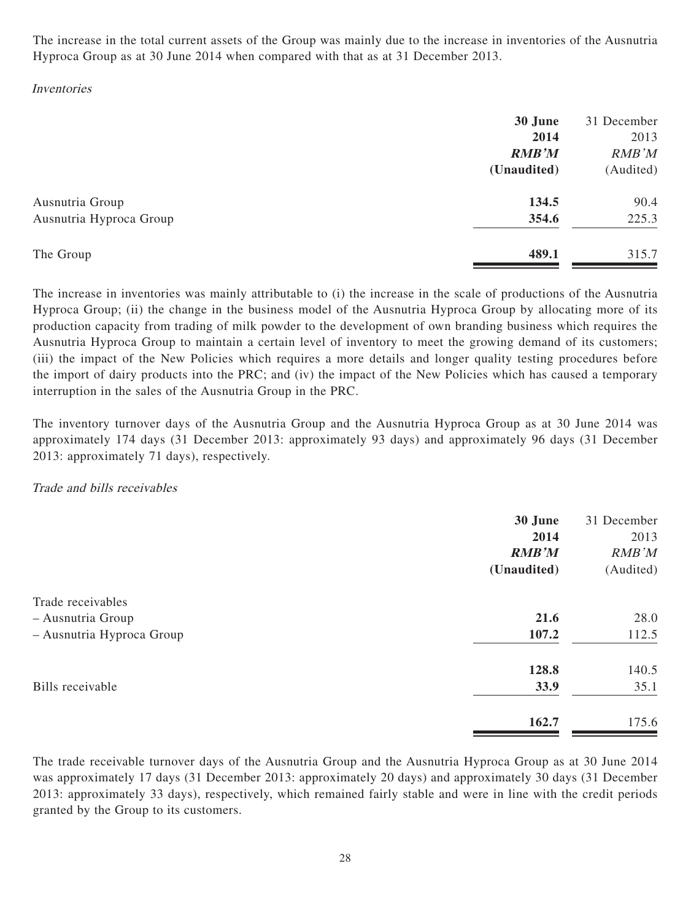The increase in the total current assets of the Group was mainly due to the increase in inventories of the Ausnutria Hyproca Group as at 30 June 2014 when compared with that as at 31 December 2013.

## Inventories

|                         | 30 June<br>2014<br><b>RMB'M</b> | 31 December<br>2013<br>RMB'M |
|-------------------------|---------------------------------|------------------------------|
|                         | (Unaudited)                     | (Audited)                    |
| Ausnutria Group         | 134.5                           | 90.4                         |
| Ausnutria Hyproca Group | 354.6                           | 225.3                        |
| The Group               | 489.1                           | 315.7                        |

The increase in inventories was mainly attributable to (i) the increase in the scale of productions of the Ausnutria Hyproca Group; (ii) the change in the business model of the Ausnutria Hyproca Group by allocating more of its production capacity from trading of milk powder to the development of own branding business which requires the Ausnutria Hyproca Group to maintain a certain level of inventory to meet the growing demand of its customers; (iii) the impact of the New Policies which requires a more details and longer quality testing procedures before the import of dairy products into the PRC; and (iv) the impact of the New Policies which has caused a temporary interruption in the sales of the Ausnutria Group in the PRC.

The inventory turnover days of the Ausnutria Group and the Ausnutria Hyproca Group as at 30 June 2014 was approximately 174 days (31 December 2013: approximately 93 days) and approximately 96 days (31 December 2013: approximately 71 days), respectively.

## Trade and bills receivables

|                           | 30 June<br>2014<br><b>RMB'M</b><br>(Unaudited) | 31 December<br>2013<br>RMB'M<br>(Audited) |
|---------------------------|------------------------------------------------|-------------------------------------------|
| Trade receivables         |                                                |                                           |
| - Ausnutria Group         | 21.6                                           | 28.0                                      |
| - Ausnutria Hyproca Group | 107.2                                          | 112.5                                     |
|                           | 128.8                                          | 140.5                                     |
| Bills receivable          | 33.9                                           | 35.1                                      |
|                           | 162.7                                          | 175.6                                     |

The trade receivable turnover days of the Ausnutria Group and the Ausnutria Hyproca Group as at 30 June 2014 was approximately 17 days (31 December 2013: approximately 20 days) and approximately 30 days (31 December 2013: approximately 33 days), respectively, which remained fairly stable and were in line with the credit periods granted by the Group to its customers.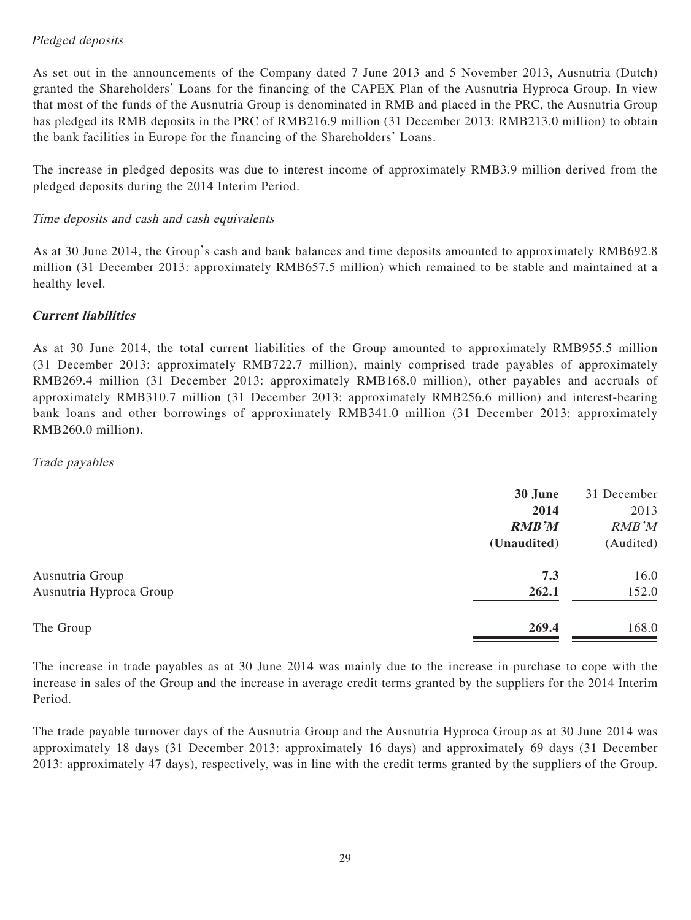# Pledged deposits

As set out in the announcements of the Company dated 7 June 2013 and 5 November 2013, Ausnutria (Dutch) granted the Shareholders' Loans for the financing of the CAPEX Plan of the Ausnutria Hyproca Group. In view that most of the funds of the Ausnutria Group is denominated in RMB and placed in the PRC, the Ausnutria Group has pledged its RMB deposits in the PRC of RMB216.9 million (31 December 2013: RMB213.0 million) to obtain the bank facilities in Europe for the financing of the Shareholders' Loans.

The increase in pledged deposits was due to interest income of approximately RMB3.9 million derived from the pledged deposits during the 2014 Interim Period.

# Time deposits and cash and cash equivalents

As at 30 June 2014, the Group's cash and bank balances and time deposits amounted to approximately RMB692.8 million (31 December 2013: approximately RMB657.5 million) which remained to be stable and maintained at a healthy level.

# **Current liabilities**

As at 30 June 2014, the total current liabilities of the Group amounted to approximately RMB955.5 million (31 December 2013: approximately RMB722.7 million), mainly comprised trade payables of approximately RMB269.4 million (31 December 2013: approximately RMB168.0 million), other payables and accruals of approximately RMB310.7 million (31 December 2013: approximately RMB256.6 million) and interest-bearing bank loans and other borrowings of approximately RMB341.0 million (31 December 2013: approximately RMB260.0 million).

## Trade payables

|                         | 30 June      | 31 December |
|-------------------------|--------------|-------------|
|                         | 2014         | 2013        |
|                         | <b>RMB'M</b> | RMB'M       |
|                         | (Unaudited)  | (Audited)   |
| Ausnutria Group         | 7.3          | 16.0        |
| Ausnutria Hyproca Group | 262.1        | 152.0       |
| The Group               | 269.4        | 168.0       |
|                         |              |             |

The increase in trade payables as at 30 June 2014 was mainly due to the increase in purchase to cope with the increase in sales of the Group and the increase in average credit terms granted by the suppliers for the 2014 Interim Period.

The trade payable turnover days of the Ausnutria Group and the Ausnutria Hyproca Group as at 30 June 2014 was approximately 18 days (31 December 2013: approximately 16 days) and approximately 69 days (31 December 2013: approximately 47 days), respectively, was in line with the credit terms granted by the suppliers of the Group.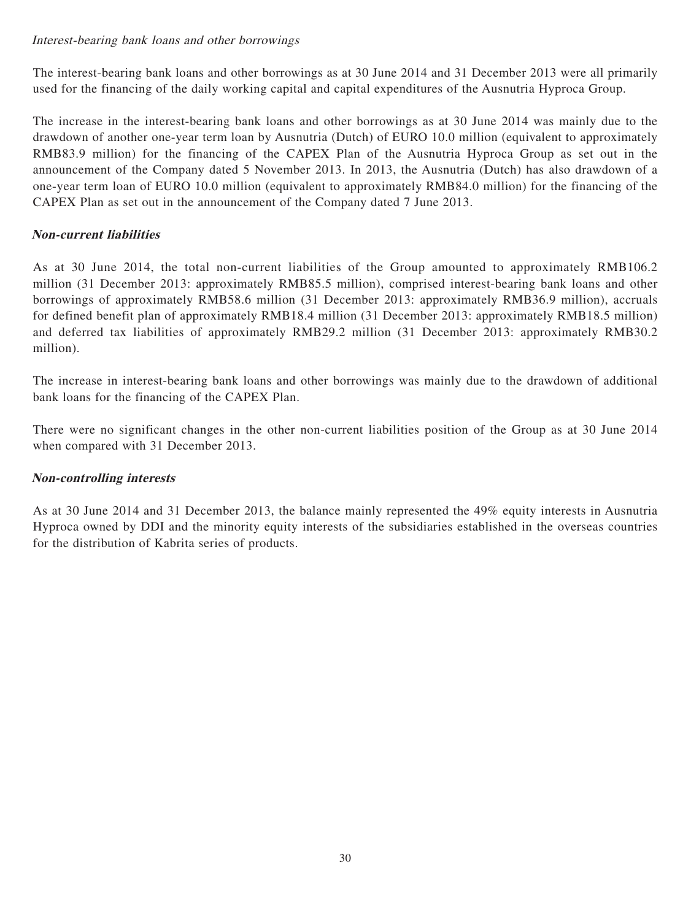# Interest-bearing bank loans and other borrowings

The interest-bearing bank loans and other borrowings as at 30 June 2014 and 31 December 2013 were all primarily used for the financing of the daily working capital and capital expenditures of the Ausnutria Hyproca Group.

The increase in the interest-bearing bank loans and other borrowings as at 30 June 2014 was mainly due to the drawdown of another one-year term loan by Ausnutria (Dutch) of EURO 10.0 million (equivalent to approximately RMB83.9 million) for the financing of the CAPEX Plan of the Ausnutria Hyproca Group as set out in the announcement of the Company dated 5 November 2013. In 2013, the Ausnutria (Dutch) has also drawdown of a one-year term loan of EURO 10.0 million (equivalent to approximately RMB84.0 million) for the financing of the CAPEX Plan as set out in the announcement of the Company dated 7 June 2013.

# **Non-current liabilities**

As at 30 June 2014, the total non-current liabilities of the Group amounted to approximately RMB106.2 million (31 December 2013: approximately RMB85.5 million), comprised interest-bearing bank loans and other borrowings of approximately RMB58.6 million (31 December 2013: approximately RMB36.9 million), accruals for defined benefit plan of approximately RMB18.4 million (31 December 2013: approximately RMB18.5 million) and deferred tax liabilities of approximately RMB29.2 million (31 December 2013: approximately RMB30.2 million).

The increase in interest-bearing bank loans and other borrowings was mainly due to the drawdown of additional bank loans for the financing of the CAPEX Plan.

There were no significant changes in the other non-current liabilities position of the Group as at 30 June 2014 when compared with 31 December 2013.

## **Non-controlling interests**

As at 30 June 2014 and 31 December 2013, the balance mainly represented the 49% equity interests in Ausnutria Hyproca owned by DDI and the minority equity interests of the subsidiaries established in the overseas countries for the distribution of Kabrita series of products.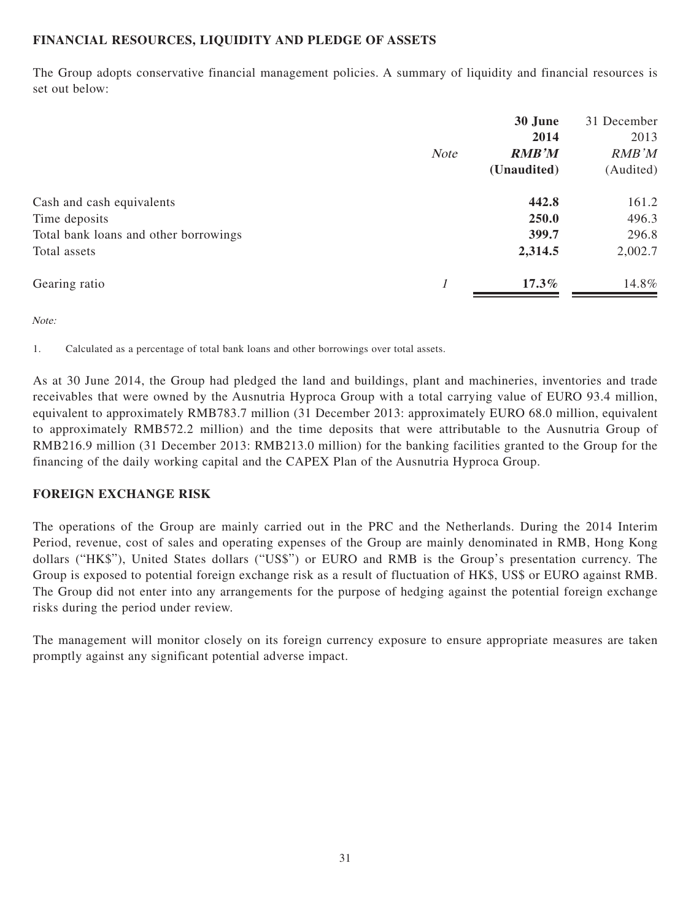# **FINANCIAL RESOURCES, LIQUIDITY AND PLEDGE OF ASSETS**

The Group adopts conservative financial management policies. A summary of liquidity and financial resources is set out below:

|                                       |             | 30 June      |              |
|---------------------------------------|-------------|--------------|--------------|
|                                       |             | 2014         | 2013         |
|                                       | <b>Note</b> | <b>RMB'M</b> | <b>RMB'M</b> |
|                                       |             | (Unaudited)  | (Audited)    |
| Cash and cash equivalents             |             | 442.8        | 161.2        |
| Time deposits                         |             | 250.0        | 496.3        |
| Total bank loans and other borrowings |             | 399.7        | 296.8        |
| Total assets                          |             | 2,314.5      | 2,002.7      |
| Gearing ratio                         |             | $17.3\%$     | 14.8%        |

Note:

1. Calculated as a percentage of total bank loans and other borrowings over total assets.

As at 30 June 2014, the Group had pledged the land and buildings, plant and machineries, inventories and trade receivables that were owned by the Ausnutria Hyproca Group with a total carrying value of EURO 93.4 million, equivalent to approximately RMB783.7 million (31 December 2013: approximately EURO 68.0 million, equivalent to approximately RMB572.2 million) and the time deposits that were attributable to the Ausnutria Group of RMB216.9 million (31 December 2013: RMB213.0 million) for the banking facilities granted to the Group for the financing of the daily working capital and the CAPEX Plan of the Ausnutria Hyproca Group.

# **FOREIGN EXCHANGE RISK**

The operations of the Group are mainly carried out in the PRC and the Netherlands. During the 2014 Interim Period, revenue, cost of sales and operating expenses of the Group are mainly denominated in RMB, Hong Kong dollars ("HK\$"), United States dollars ("US\$") or EURO and RMB is the Group's presentation currency. The Group is exposed to potential foreign exchange risk as a result of fluctuation of HK\$, US\$ or EURO against RMB. The Group did not enter into any arrangements for the purpose of hedging against the potential foreign exchange risks during the period under review.

The management will monitor closely on its foreign currency exposure to ensure appropriate measures are taken promptly against any significant potential adverse impact.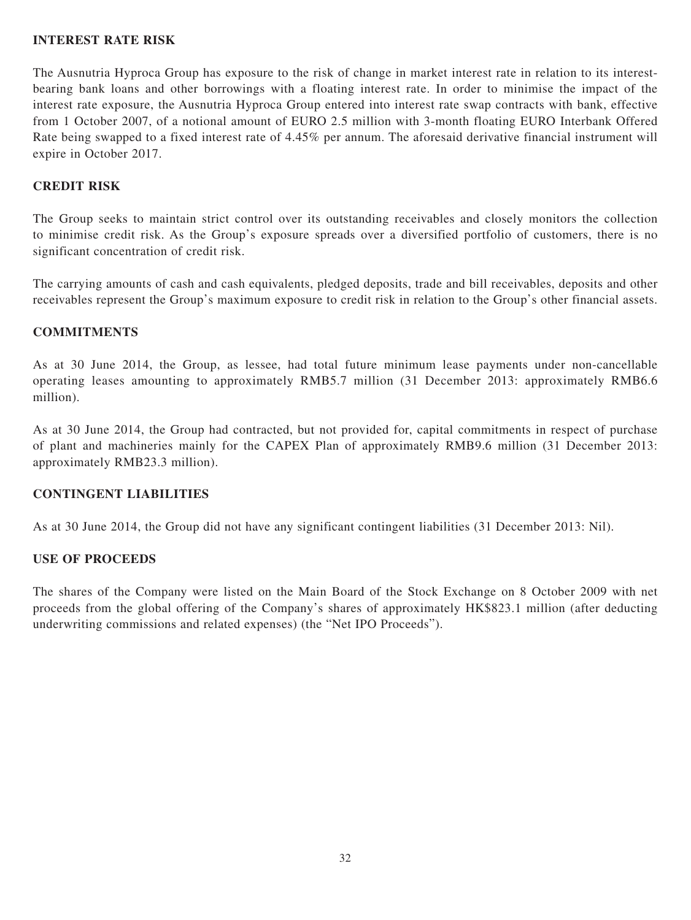## **INTEREST RATE RISK**

The Ausnutria Hyproca Group has exposure to the risk of change in market interest rate in relation to its interestbearing bank loans and other borrowings with a floating interest rate. In order to minimise the impact of the interest rate exposure, the Ausnutria Hyproca Group entered into interest rate swap contracts with bank, effective from 1 October 2007, of a notional amount of EURO 2.5 million with 3-month floating EURO Interbank Offered Rate being swapped to a fixed interest rate of 4.45% per annum. The aforesaid derivative financial instrument will expire in October 2017.

# **CREDIT RISK**

The Group seeks to maintain strict control over its outstanding receivables and closely monitors the collection to minimise credit risk. As the Group's exposure spreads over a diversified portfolio of customers, there is no significant concentration of credit risk.

The carrying amounts of cash and cash equivalents, pledged deposits, trade and bill receivables, deposits and other receivables represent the Group's maximum exposure to credit risk in relation to the Group's other financial assets.

## **COMMITMENTS**

As at 30 June 2014, the Group, as lessee, had total future minimum lease payments under non-cancellable operating leases amounting to approximately RMB5.7 million (31 December 2013: approximately RMB6.6 million).

As at 30 June 2014, the Group had contracted, but not provided for, capital commitments in respect of purchase of plant and machineries mainly for the CAPEX Plan of approximately RMB9.6 million (31 December 2013: approximately RMB23.3 million).

## **CONTINGENT LIABILITIES**

As at 30 June 2014, the Group did not have any significant contingent liabilities (31 December 2013: Nil).

## **USE OF PROCEEDS**

The shares of the Company were listed on the Main Board of the Stock Exchange on 8 October 2009 with net proceeds from the global offering of the Company's shares of approximately HK\$823.1 million (after deducting underwriting commissions and related expenses) (the "Net IPO Proceeds").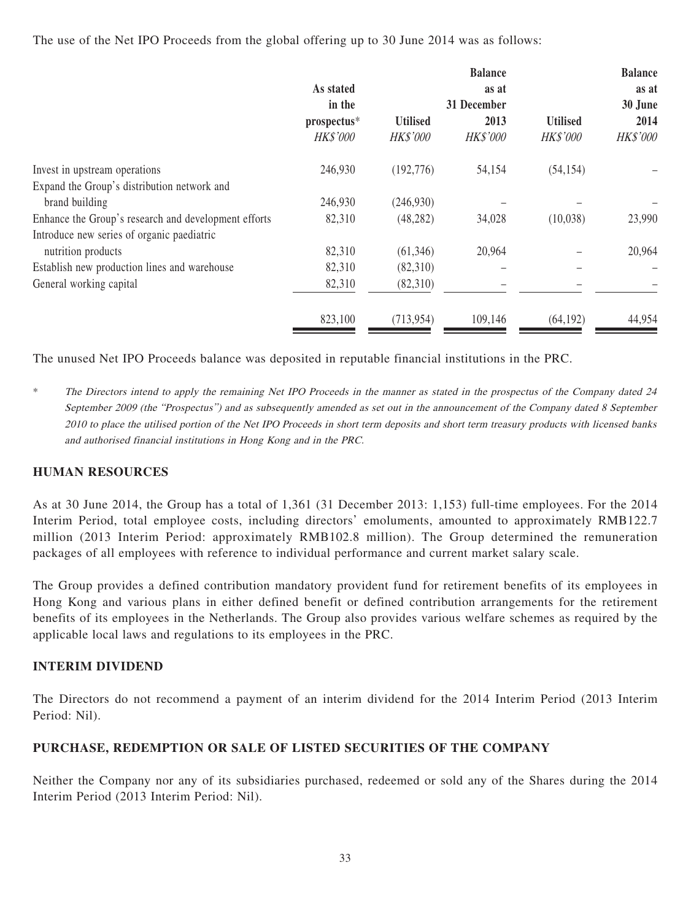The use of the Net IPO Proceeds from the global offering up to 30 June 2014 was as follows:

|                                                      |                 |                 | <b>Balance</b>  |                 | <b>Balance</b> |
|------------------------------------------------------|-----------------|-----------------|-----------------|-----------------|----------------|
|                                                      | As stated       |                 | as at           |                 | as at          |
|                                                      | in the          |                 | 31 December     |                 | 30 June        |
|                                                      | prospectus*     | <b>Utilised</b> | 2013            | <b>Utilised</b> | 2014           |
|                                                      | <b>HK\$'000</b> | <b>HK\$'000</b> | <b>HK\$'000</b> | <b>HK\$'000</b> | HK\$'000       |
| Invest in upstream operations                        | 246,930         | (192,776)       | 54,154          | (54, 154)       |                |
| Expand the Group's distribution network and          |                 |                 |                 |                 |                |
| brand building                                       | 246,930         | (246,930)       |                 |                 |                |
| Enhance the Group's research and development efforts | 82,310          | (48, 282)       | 34,028          | (10,038)        | 23,990         |
| Introduce new series of organic paediatric           |                 |                 |                 |                 |                |
| nutrition products                                   | 82,310          | (61, 346)       | 20,964          |                 | 20,964         |
| Establish new production lines and warehouse         | 82,310          | (82,310)        |                 |                 |                |
| General working capital                              | 82,310          | (82,310)        |                 |                 |                |
|                                                      | 823,100         | (713, 954)      | 109,146         | (64, 192)       | 44,954         |

The unused Net IPO Proceeds balance was deposited in reputable financial institutions in the PRC.

\* The Directors intend to apply the remaining Net IPO Proceeds in the manner as stated in the prospectus of the Company dated 24 September 2009 (the "Prospectus") and as subsequently amended as set out in the announcement of the Company dated 8 September 2010 to place the utilised portion of the Net IPO Proceeds in short term deposits and short term treasury products with licensed banks and authorised financial institutions in Hong Kong and in the PRC.

# **HUMAN RESOURCES**

As at 30 June 2014, the Group has a total of 1,361 (31 December 2013: 1,153) full-time employees. For the 2014 Interim Period, total employee costs, including directors' emoluments, amounted to approximately RMB122.7 million (2013 Interim Period: approximately RMB102.8 million). The Group determined the remuneration packages of all employees with reference to individual performance and current market salary scale.

The Group provides a defined contribution mandatory provident fund for retirement benefits of its employees in Hong Kong and various plans in either defined benefit or defined contribution arrangements for the retirement benefits of its employees in the Netherlands. The Group also provides various welfare schemes as required by the applicable local laws and regulations to its employees in the PRC.

## **INTERIM DIVIDEND**

The Directors do not recommend a payment of an interim dividend for the 2014 Interim Period (2013 Interim Period: Nil).

# **PURCHASE, REDEMPTION OR SALE OF LISTED SECURITIES OF THE COMPANY**

Neither the Company nor any of its subsidiaries purchased, redeemed or sold any of the Shares during the 2014 Interim Period (2013 Interim Period: Nil).